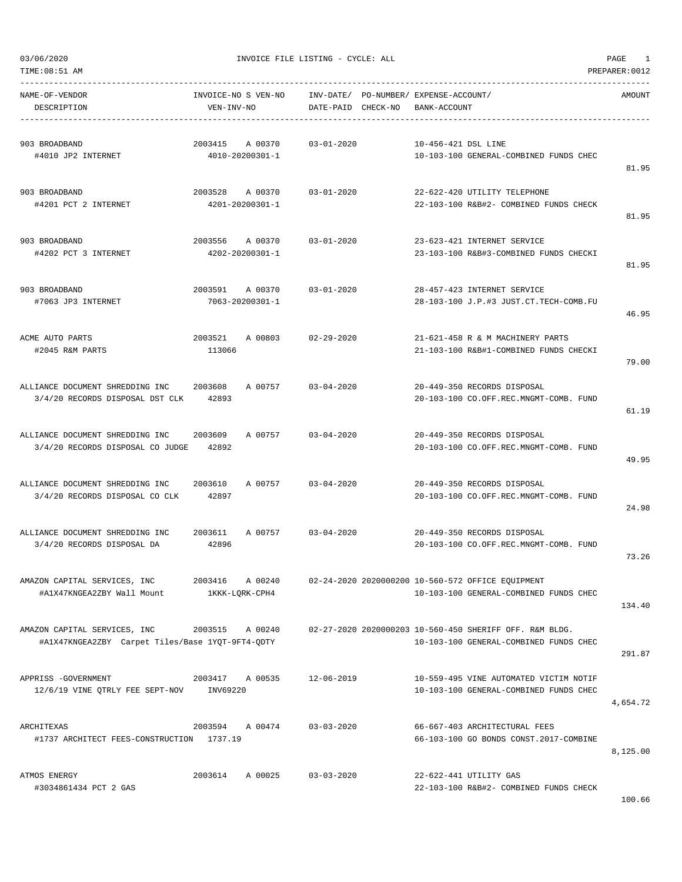| TIME:08:51 AM                                                                    |                                       |                  |                    |                                                       |                                                                                                   | PREPARER: 0012 |
|----------------------------------------------------------------------------------|---------------------------------------|------------------|--------------------|-------------------------------------------------------|---------------------------------------------------------------------------------------------------|----------------|
| NAME-OF-VENDOR<br>DESCRIPTION                                                    | INVOICE-NO S VEN-NO<br>VEN-INV-NO     |                  | DATE-PAID CHECK-NO | INV-DATE/ PO-NUMBER/ EXPENSE-ACCOUNT/<br>BANK-ACCOUNT |                                                                                                   | AMOUNT         |
| 903 BROADBAND<br>#4010 JP2 INTERNET                                              | 2003415<br>A 00370<br>4010-20200301-1 | $03 - 01 - 2020$ |                    | 10-456-421 DSL LINE                                   | 10-103-100 GENERAL-COMBINED FUNDS CHEC                                                            | 81.95          |
| 903 BROADBAND<br>#4201 PCT 2 INTERNET                                            | 2003528 A 00370<br>4201-20200301-1    | $03 - 01 - 2020$ |                    |                                                       | 22-622-420 UTILITY TELEPHONE<br>22-103-100 R&B#2- COMBINED FUNDS CHECK                            | 81.95          |
| 903 BROADBAND<br>#4202 PCT 3 INTERNET                                            | 2003556 A 00370<br>4202-20200301-1    | $03 - 01 - 2020$ |                    |                                                       | 23-623-421 INTERNET SERVICE<br>23-103-100 R&B#3-COMBINED FUNDS CHECKI                             | 81.95          |
| 903 BROADBAND<br>#7063 JP3 INTERNET                                              | 2003591 A 00370<br>7063-20200301-1    | $03 - 01 - 2020$ |                    |                                                       | 28-457-423 INTERNET SERVICE<br>28-103-100 J.P.#3 JUST.CT.TECH-COMB.FU                             | 46.95          |
| ACME AUTO PARTS<br>#2045 R&M PARTS                                               | 2003521<br>A 00803<br>113066          | $02 - 29 - 2020$ |                    |                                                       | 21-621-458 R & M MACHINERY PARTS<br>21-103-100 R&B#1-COMBINED FUNDS CHECKI                        | 79.00          |
| ALLIANCE DOCUMENT SHREDDING INC<br>3/4/20 RECORDS DISPOSAL DST CLK               | 2003608<br>A 00757<br>42893           | $03 - 04 - 2020$ |                    |                                                       | 20-449-350 RECORDS DISPOSAL<br>20-103-100 CO.OFF.REC.MNGMT-COMB. FUND                             | 61.19          |
| ALLIANCE DOCUMENT SHREDDING INC<br>3/4/20 RECORDS DISPOSAL CO JUDGE              | 2003609<br>A 00757<br>42892           | $03 - 04 - 2020$ |                    |                                                       | 20-449-350 RECORDS DISPOSAL<br>20-103-100 CO.OFF.REC.MNGMT-COMB. FUND                             | 49.95          |
| ALLIANCE DOCUMENT SHREDDING INC 2003610<br>3/4/20 RECORDS DISPOSAL CO CLK        | A 00757<br>42897                      | $03 - 04 - 2020$ |                    |                                                       | 20-449-350 RECORDS DISPOSAL<br>20-103-100 CO.OFF.REC.MNGMT-COMB. FUND                             | 24.98          |
| ALLIANCE DOCUMENT SHREDDING INC<br>3/4/20 RECORDS DISPOSAL DA                    | A 00757<br>2003611<br>42896           | 03-04-2020       |                    |                                                       | 20-449-350 RECORDS DISPOSAL<br>20-103-100 CO.OFF.REC.MNGMT-COMB. FUND                             | 73.26          |
| AMAZON CAPITAL SERVICES, INC<br>#A1X47KNGEA2ZBY Wall Mount                       | 2003416 A 00240<br>1KKK-LQRK-CPH4     |                  |                    |                                                       | 02-24-2020 2020000200 10-560-572 OFFICE EQUIPMENT<br>10-103-100 GENERAL-COMBINED FUNDS CHEC       | 134.40         |
| AMAZON CAPITAL SERVICES, INC<br>#A1X47KNGEA2ZBY Carpet Tiles/Base 1YQT-9FT4-QDTY | 2003515 A 00240                       |                  |                    |                                                       | 02-27-2020 2020000203 10-560-450 SHERIFF OFF. R&M BLDG.<br>10-103-100 GENERAL-COMBINED FUNDS CHEC | 291.87         |
| APPRISS - GOVERNMENT<br>12/6/19 VINE QTRLY FEE SEPT-NOV INV69220                 | 2003417 A 00535                       | $12 - 06 - 2019$ |                    |                                                       | 10-559-495 VINE AUTOMATED VICTIM NOTIF<br>10-103-100 GENERAL-COMBINED FUNDS CHEC                  | 4,654.72       |
| ARCHITEXAS<br>#1737 ARCHITECT FEES-CONSTRUCTION 1737.19                          | 2003594 A 00474 03-03-2020            |                  |                    |                                                       | 66-667-403 ARCHITECTURAL FEES<br>66-103-100 GO BONDS CONST.2017-COMBINE                           | 8,125.00       |
| ATMOS ENERGY<br>#3034861434 PCT 2 GAS                                            | 2003614 A 00025                       | 03-03-2020       |                    |                                                       | 22-622-441 UTILITY GAS<br>22-103-100 R&B#2- COMBINED FUNDS CHECK                                  |                |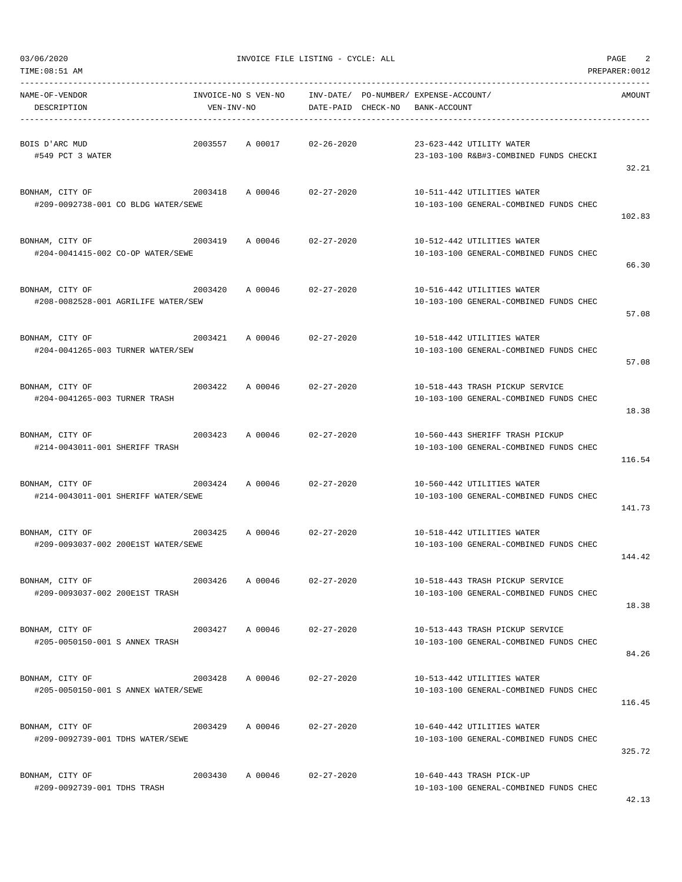$03/06/2020$  PAGE 2

| TIME: 08:51 AM                                         |            |                     |                                 |                                                                           | PREPARER: 0012 |
|--------------------------------------------------------|------------|---------------------|---------------------------------|---------------------------------------------------------------------------|----------------|
| NAME-OF-VENDOR<br>DESCRIPTION                          | VEN-INV-NO | INVOICE-NO S VEN-NO | INV-DATE/<br>DATE-PAID CHECK-NO | PO-NUMBER/ EXPENSE-ACCOUNT/<br>BANK-ACCOUNT                               | AMOUNT         |
| BOIS D'ARC MUD<br>#549 PCT 3 WATER                     | 2003557    | A 00017             | $02 - 26 - 2020$                | 23-623-442 UTILITY WATER<br>23-103-100 R&B#3-COMBINED FUNDS CHECKI        | 32.21          |
| BONHAM, CITY OF<br>#209-0092738-001 CO BLDG WATER/SEWE | 2003418    | A 00046             | $02 - 27 - 2020$                | 10-511-442 UTILITIES WATER<br>10-103-100 GENERAL-COMBINED FUNDS CHEC      | 102.83         |
| BONHAM, CITY OF<br>#204-0041415-002 CO-OP WATER/SEWE   | 2003419    | A 00046             | $02 - 27 - 2020$                | 10-512-442 UTILITIES WATER<br>10-103-100 GENERAL-COMBINED FUNDS CHEC      | 66.30          |
| BONHAM, CITY OF<br>#208-0082528-001 AGRILIFE WATER/SEW | 2003420    | A 00046             | $02 - 27 - 2020$                | 10-516-442 UTILITIES WATER<br>10-103-100 GENERAL-COMBINED FUNDS CHEC      | 57.08          |
| BONHAM, CITY OF<br>#204-0041265-003 TURNER WATER/SEW   | 2003421    | A 00046             | $02 - 27 - 2020$                | 10-518-442 UTILITIES WATER<br>10-103-100 GENERAL-COMBINED FUNDS CHEC      | 57.08          |
| BONHAM, CITY OF<br>#204-0041265-003 TURNER TRASH       | 2003422    | A 00046             | $02 - 27 - 2020$                | 10-518-443 TRASH PICKUP SERVICE<br>10-103-100 GENERAL-COMBINED FUNDS CHEC | 18.38          |
| BONHAM, CITY OF<br>#214-0043011-001 SHERIFF TRASH      | 2003423    | A 00046             | $02 - 27 - 2020$                | 10-560-443 SHERIFF TRASH PICKUP<br>10-103-100 GENERAL-COMBINED FUNDS CHEC | 116.54         |
| BONHAM, CITY OF<br>#214-0043011-001 SHERIFF WATER/SEWE | 2003424    | A 00046             | $02 - 27 - 2020$                | 10-560-442 UTILITIES WATER<br>10-103-100 GENERAL-COMBINED FUNDS CHEC      | 141.73         |
| BONHAM, CITY OF<br>#209-0093037-002 200E1ST WATER/SEWE | 2003425    | A 00046             | $02 - 27 - 2020$                | 10-518-442 UTILITIES WATER<br>10-103-100 GENERAL-COMBINED FUNDS CHEC      | 144.42         |
| BONHAM, CITY OF<br>#209-0093037-002 200E1ST TRASH      | 2003426    | A 00046             | $02 - 27 - 2020$                | 10-518-443 TRASH PICKUP SERVICE<br>10-103-100 GENERAL-COMBINED FUNDS CHEC | 18.38          |
| BONHAM, CITY OF<br>#205-0050150-001 S ANNEX TRASH      | 2003427    | A 00046             | $02 - 27 - 2020$                | 10-513-443 TRASH PICKUP SERVICE<br>10-103-100 GENERAL-COMBINED FUNDS CHEC | 84.26          |
| BONHAM, CITY OF<br>#205-0050150-001 S ANNEX WATER/SEWE | 2003428    | A 00046             | $02 - 27 - 2020$                | 10-513-442 UTILITIES WATER<br>10-103-100 GENERAL-COMBINED FUNDS CHEC      | 116.45         |
| BONHAM, CITY OF<br>#209-0092739-001 TDHS WATER/SEWE    | 2003429    | A 00046             | $02 - 27 - 2020$                | 10-640-442 UTILITIES WATER<br>10-103-100 GENERAL-COMBINED FUNDS CHEC      | 325.72         |
| BONHAM, CITY OF<br>#209-0092739-001 TDHS TRASH         | 2003430    | A 00046             | $02 - 27 - 2020$                | 10-640-443 TRASH PICK-UP<br>10-103-100 GENERAL-COMBINED FUNDS CHEC        |                |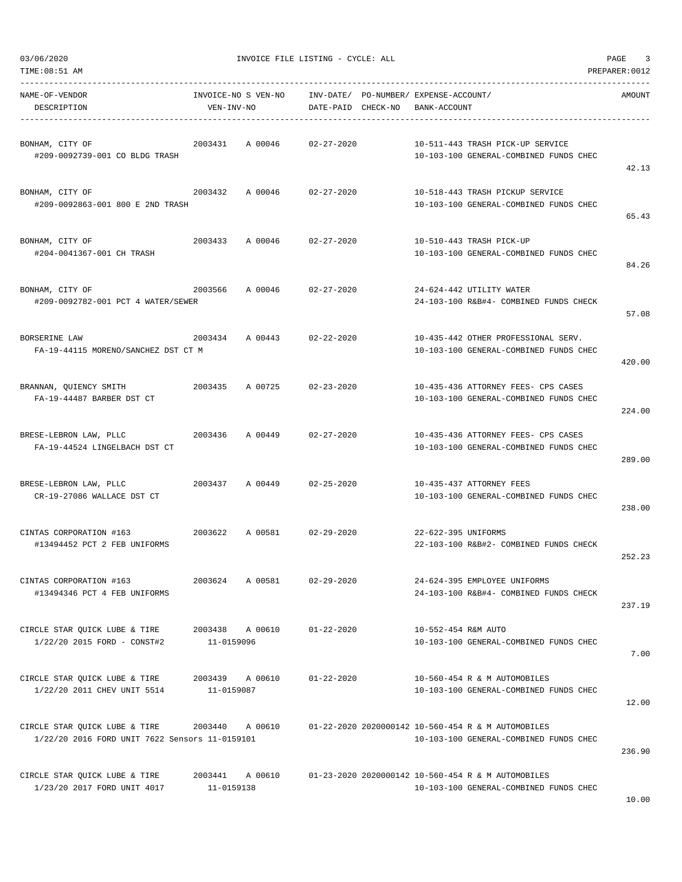|  | 03/06/2020 |  |
|--|------------|--|

| NAME-OF-VENDOR<br>DESCRIPTION                                                   | INVOICE-NO S VEN-NO<br>VEN-INV-NO |                            | DATE-PAID CHECK-NO | INV-DATE/ PO-NUMBER/ EXPENSE-ACCOUNT/ | BANK-ACCOUNT        |                                                                                              | AMOUNT |
|---------------------------------------------------------------------------------|-----------------------------------|----------------------------|--------------------|---------------------------------------|---------------------|----------------------------------------------------------------------------------------------|--------|
| BONHAM, CITY OF<br>#209-0092739-001 CO BLDG TRASH                               | 2003431                           | A 00046                    | $02 - 27 - 2020$   |                                       |                     | 10-511-443 TRASH PICK-UP SERVICE<br>10-103-100 GENERAL-COMBINED FUNDS CHEC                   | 42.13  |
| BONHAM, CITY OF<br>#209-0092863-001 800 E 2ND TRASH                             | 2003432                           | A 00046 02-27-2020         |                    |                                       |                     | 10-518-443 TRASH PICKUP SERVICE<br>10-103-100 GENERAL-COMBINED FUNDS CHEC                    | 65.43  |
| BONHAM, CITY OF<br>#204-0041367-001 CH TRASH                                    |                                   | 2003433 A 00046 02-27-2020 |                    |                                       |                     | 10-510-443 TRASH PICK-UP<br>10-103-100 GENERAL-COMBINED FUNDS CHEC                           | 84.26  |
| BONHAM, CITY OF<br>#209-0092782-001 PCT 4 WATER/SEWER                           | 2003566                           | A 00046                    | $02 - 27 - 2020$   |                                       |                     | 24-624-442 UTILITY WATER<br>24-103-100 R&B#4- COMBINED FUNDS CHECK                           | 57.08  |
| BORSERINE LAW<br>FA-19-44115 MORENO/SANCHEZ DST CT M                            |                                   | 2003434 A 00443 02-22-2020 |                    |                                       |                     | 10-435-442 OTHER PROFESSIONAL SERV.<br>10-103-100 GENERAL-COMBINED FUNDS CHEC                | 420.00 |
| BRANNAN, QUIENCY SMITH<br>2003435<br>FA-19-44487 BARBER DST CT                  |                                   | A 00725                    | $02 - 23 - 2020$   |                                       |                     | 10-435-436 ATTORNEY FEES- CPS CASES<br>10-103-100 GENERAL-COMBINED FUNDS CHEC                | 224.00 |
| BRESE-LEBRON LAW, PLLC<br>FA-19-44524 LINGELBACH DST CT                         |                                   | 2003436 A 00449            | 02-27-2020         |                                       |                     | 10-435-436 ATTORNEY FEES- CPS CASES<br>10-103-100 GENERAL-COMBINED FUNDS CHEC                | 289.00 |
| BRESE-LEBRON LAW, PLLC<br>CR-19-27086 WALLACE DST CT                            |                                   | 2003437 A 00449 02-25-2020 |                    |                                       |                     | 10-435-437 ATTORNEY FEES<br>10-103-100 GENERAL-COMBINED FUNDS CHEC                           | 238.00 |
| CINTAS CORPORATION #163<br>2003622<br>#13494452 PCT 2 FEB UNIFORMS              |                                   | A 00581 02-29-2020         |                    |                                       | 22-622-395 UNIFORMS | 22-103-100 R&B#2- COMBINED FUNDS CHECK                                                       | 252.23 |
| CINTAS CORPORATION #163<br>#13494346 PCT 4 FEB UNIFORMS                         | 2003624                           | A 00581                    | $02 - 29 - 2020$   |                                       |                     | 24-624-395 EMPLOYEE UNIFORMS<br>24-103-100 R&B#4- COMBINED FUNDS CHECK                       | 237.19 |
| CIRCLE STAR OUICK LUBE & TIRE<br>1/22/20 2015 FORD - CONST#2                    | 2003438<br>11-0159096             | A 00610                    | $01 - 22 - 2020$   |                                       | 10-552-454 R&M AUTO | 10-103-100 GENERAL-COMBINED FUNDS CHEC                                                       | 7.00   |
| CIRCLE STAR OUICK LUBE & TIRE<br>1/22/20 2011 CHEV UNIT 5514                    | 2003439<br>11-0159087             | A 00610                    | $01 - 22 - 2020$   |                                       |                     | 10-560-454 R & M AUTOMOBILES<br>10-103-100 GENERAL-COMBINED FUNDS CHEC                       | 12.00  |
| CIRCLE STAR QUICK LUBE & TIRE<br>1/22/20 2016 FORD UNIT 7622 Sensors 11-0159101 | 2003440                           | A 00610                    |                    |                                       |                     | 01-22-2020 2020000142 10-560-454 R & M AUTOMOBILES<br>10-103-100 GENERAL-COMBINED FUNDS CHEC | 236.90 |
| CIRCLE STAR QUICK LUBE & TIRE<br>1/23/20 2017 FORD UNIT 4017                    | 2003441<br>11-0159138             | A 00610                    |                    |                                       |                     | 01-23-2020 2020000142 10-560-454 R & M AUTOMOBILES<br>10-103-100 GENERAL-COMBINED FUNDS CHEC |        |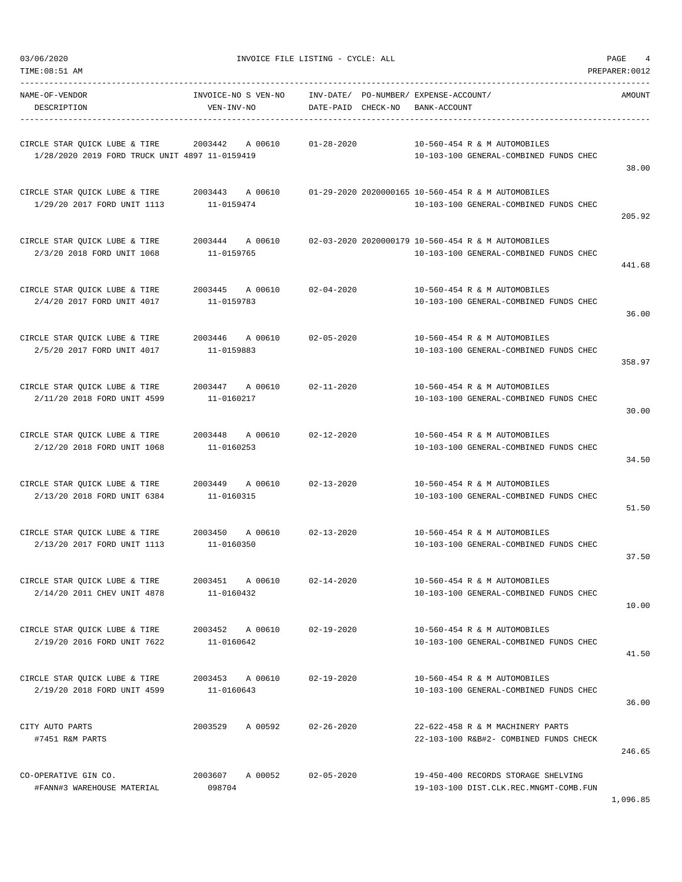| TIME:U8:51 AM |  |  |  |
|---------------|--|--|--|
|               |  |  |  |

| NAME-OF-VENDOR<br>DESCRIPTION                                                             | INVOICE-NO S VEN-NO<br>VEN-INV-NO        | INV-DATE/ PO-NUMBER/ EXPENSE-ACCOUNT/<br>DATE-PAID CHECK-NO | BANK-ACCOUNT                                                                                                 | AMOUNT   |
|-------------------------------------------------------------------------------------------|------------------------------------------|-------------------------------------------------------------|--------------------------------------------------------------------------------------------------------------|----------|
| CIRCLE STAR QUICK LUBE & TIRE<br>1/28/2020 2019 FORD TRUCK UNIT 4897 11-0159419           | 2003442 A 00610                          | $01 - 28 - 2020$                                            | 10-560-454 R & M AUTOMOBILES<br>10-103-100 GENERAL-COMBINED FUNDS CHEC                                       | 38.00    |
| CIRCLE STAR QUICK LUBE & TIRE<br>1/29/20 2017 FORD UNIT 1113                              | 11-0159474                               |                                                             | 2003443 A 00610 01-29-2020 2020000165 10-560-454 R & M AUTOMOBILES<br>10-103-100 GENERAL-COMBINED FUNDS CHEC | 205.92   |
| CIRCLE STAR OUICK LUBE & TIRE<br>2/3/20 2018 FORD UNIT 1068                               | 2003444 A 00610<br>11-0159765            |                                                             | 02-03-2020 2020000179 10-560-454 R & M AUTOMOBILES<br>10-103-100 GENERAL-COMBINED FUNDS CHEC                 | 441.68   |
| CIRCLE STAR QUICK LUBE & TIRE<br>2/4/20 2017 FORD UNIT 4017                               | 2003445 A 00610 02-04-2020<br>11-0159783 |                                                             | 10-560-454 R & M AUTOMOBILES<br>10-103-100 GENERAL-COMBINED FUNDS CHEC                                       | 36.00    |
| CIRCLE STAR QUICK LUBE & TIRE<br>2/5/20 2017 FORD UNIT 4017                               | 2003446 A 00610 02-05-2020<br>11-0159883 |                                                             | 10-560-454 R & M AUTOMOBILES<br>10-103-100 GENERAL-COMBINED FUNDS CHEC                                       | 358.97   |
| CIRCLE STAR QUICK LUBE & TIRE 2003447 A 00610 02-11-2020<br>2/11/20 2018 FORD UNIT 4599   | 11-0160217                               |                                                             | 10-560-454 R & M AUTOMOBILES<br>10-103-100 GENERAL-COMBINED FUNDS CHEC                                       | 30.00    |
| CIRCLE STAR QUICK LUBE & TIRE 2003448 A 00610<br>2/12/20 2018 FORD UNIT 1068              | 11-0160253                               | $02 - 12 - 2020$                                            | 10-560-454 R & M AUTOMOBILES<br>10-103-100 GENERAL-COMBINED FUNDS CHEC                                       | 34.50    |
| CIRCLE STAR OUICK LUBE & TIRE<br>2/13/20 2018 FORD UNIT 6384                              | 2003449 A 00610<br>11-0160315            | $02 - 13 - 2020$                                            | 10-560-454 R & M AUTOMOBILES<br>10-103-100 GENERAL-COMBINED FUNDS CHEC                                       | 51.50    |
| CIRCLE STAR OUICK LUBE & TIRE $2003450$ A 00610 02-13-2020<br>2/13/20 2017 FORD UNIT 1113 | 11-0160350                               |                                                             | 10-560-454 R & M AUTOMOBILES<br>10-103-100 GENERAL-COMBINED FUNDS CHEC                                       | 37.50    |
| CIRCLE STAR QUICK LUBE & TIRE<br>2/14/20 2011 CHEV UNIT 4878                              | 2003451<br>A 00610<br>11-0160432         | $02 - 14 - 2020$                                            | 10-560-454 R & M AUTOMOBILES<br>10-103-100 GENERAL-COMBINED FUNDS CHEC                                       | 10.00    |
| CIRCLE STAR OUICK LUBE & TIRE<br>2/19/20 2016 FORD UNIT 7622                              | 2003452 A 00610<br>11-0160642            | $02 - 19 - 2020$                                            | 10-560-454 R & M AUTOMOBILES<br>10-103-100 GENERAL-COMBINED FUNDS CHEC                                       | 41.50    |
| CIRCLE STAR QUICK LUBE & TIRE<br>2/19/20 2018 FORD UNIT 4599                              | 2003453 A 00610<br>11-0160643            | $02 - 19 - 2020$                                            | 10-560-454 R & M AUTOMOBILES<br>10-103-100 GENERAL-COMBINED FUNDS CHEC                                       | 36.00    |
| CITY AUTO PARTS<br>#7451 R&M PARTS                                                        | 2003529<br>A 00592                       | $02 - 26 - 2020$                                            | 22-622-458 R & M MACHINERY PARTS<br>22-103-100 R&B#2- COMBINED FUNDS CHECK                                   | 246.65   |
| CO-OPERATIVE GIN CO.<br>#FANN#3 WAREHOUSE MATERIAL                                        | 2003607 A 00052<br>098704                | $02 - 05 - 2020$                                            | 19-450-400 RECORDS STORAGE SHELVING<br>19-103-100 DIST.CLK.REC.MNGMT-COMB.FUN                                | 1,096.85 |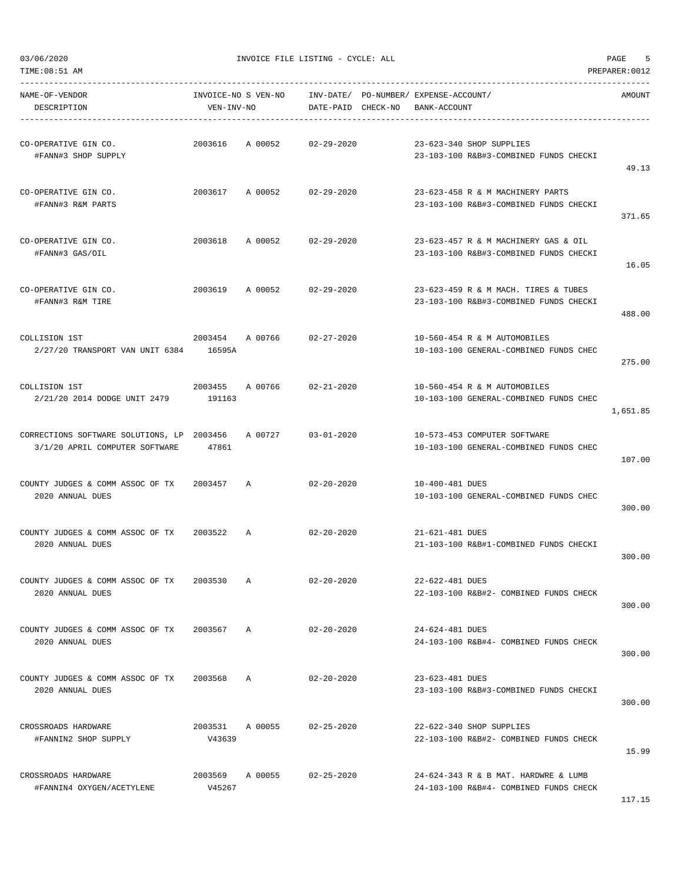| NAME-OF-VENDOR<br>DESCRIPTION                                                | VEN-INV-NO        | INVOICE-NO S VEN-NO        | DATE-PAID CHECK-NO | INV-DATE/ PO-NUMBER/ EXPENSE-ACCOUNT/<br>BANK-ACCOUNT                          | AMOUNT   |
|------------------------------------------------------------------------------|-------------------|----------------------------|--------------------|--------------------------------------------------------------------------------|----------|
| CO-OPERATIVE GIN CO.<br>#FANN#3 SHOP SUPPLY                                  | 2003616           | A 00052                    | 02-29-2020         | 23-623-340 SHOP SUPPLIES<br>23-103-100 R&B#3-COMBINED FUNDS CHECKI             | 49.13    |
| CO-OPERATIVE GIN CO.<br>#FANN#3 R&M PARTS                                    |                   | 2003617 A 00052 02-29-2020 |                    | 23-623-458 R & M MACHINERY PARTS<br>23-103-100 R&B#3-COMBINED FUNDS CHECKI     | 371.65   |
| CO-OPERATIVE GIN CO.<br>#FANN#3 GAS/OIL                                      | 2003618           | A 00052                    | $02 - 29 - 2020$   | 23-623-457 R & M MACHINERY GAS & OIL<br>23-103-100 R&B#3-COMBINED FUNDS CHECKI | 16.05    |
| CO-OPERATIVE GIN CO.<br>#FANN#3 R&M TIRE                                     |                   | 2003619 A 00052            | 02-29-2020         | 23-623-459 R & M MACH. TIRES & TUBES<br>23-103-100 R&B#3-COMBINED FUNDS CHECKI | 488.00   |
| COLLISION 1ST<br>2/27/20 TRANSPORT VAN UNIT 6384 16595A                      |                   | 2003454 A 00766            | 02-27-2020         | 10-560-454 R & M AUTOMOBILES<br>10-103-100 GENERAL-COMBINED FUNDS CHEC         | 275.00   |
| COLLISION 1ST<br>2/21/20 2014 DODGE UNIT 2479 191163                         | 2003455           | A 00766 02-21-2020         |                    | 10-560-454 R & M AUTOMOBILES<br>10-103-100 GENERAL-COMBINED FUNDS CHEC         | 1,651.85 |
| CORRECTIONS SOFTWARE SOLUTIONS, LP 2003456<br>3/1/20 APRIL COMPUTER SOFTWARE | 47861             | A 00727                    | $03 - 01 - 2020$   | 10-573-453 COMPUTER SOFTWARE<br>10-103-100 GENERAL-COMBINED FUNDS CHEC         | 107.00   |
| COUNTY JUDGES & COMM ASSOC OF TX 2003457 A<br>2020 ANNUAL DUES               |                   |                            | $02 - 20 - 2020$   | 10-400-481 DUES<br>10-103-100 GENERAL-COMBINED FUNDS CHEC                      | 300.00   |
| COUNTY JUDGES & COMM ASSOC OF TX 2003522 A<br>2020 ANNUAL DUES               |                   |                            | 02-20-2020         | 21-621-481 DUES<br>21-103-100 R&B#1-COMBINED FUNDS CHECKI                      | 300.00   |
| COUNTY JUDGES & COMM ASSOC OF TX<br>2020 ANNUAL DUES                         | 2003530           | $\mathbb{A}$               | $02 - 20 - 2020$   | 22-622-481 DUES<br>22-103-100 R&B#2- COMBINED FUNDS CHECK                      | 300.00   |
| COUNTY JUDGES & COMM ASSOC OF TX<br>2020 ANNUAL DUES                         | 2003567 A         |                            | $02 - 20 - 2020$   | 24-624-481 DUES<br>24-103-100 R&B#4- COMBINED FUNDS CHECK                      | 300.00   |
| COUNTY JUDGES & COMM ASSOC OF TX<br>2020 ANNUAL DUES                         | 2003568           | $\mathbb{A}$               | $02 - 20 - 2020$   | 23-623-481 DUES<br>23-103-100 R&B#3-COMBINED FUNDS CHECKI                      | 300.00   |
| CROSSROADS HARDWARE<br>#FANNIN2 SHOP SUPPLY                                  | 2003531<br>V43639 | A 00055                    | $02 - 25 - 2020$   | 22-622-340 SHOP SUPPLIES<br>22-103-100 R&B#2- COMBINED FUNDS CHECK             | 15.99    |
| CROSSROADS HARDWARE<br>#FANNIN4 OXYGEN/ACETYLENE                             | 2003569<br>V45267 | A 00055                    | $02 - 25 - 2020$   | 24-624-343 R & B MAT. HARDWRE & LUMB<br>24-103-100 R&B#4- COMBINED FUNDS CHECK | 117 15   |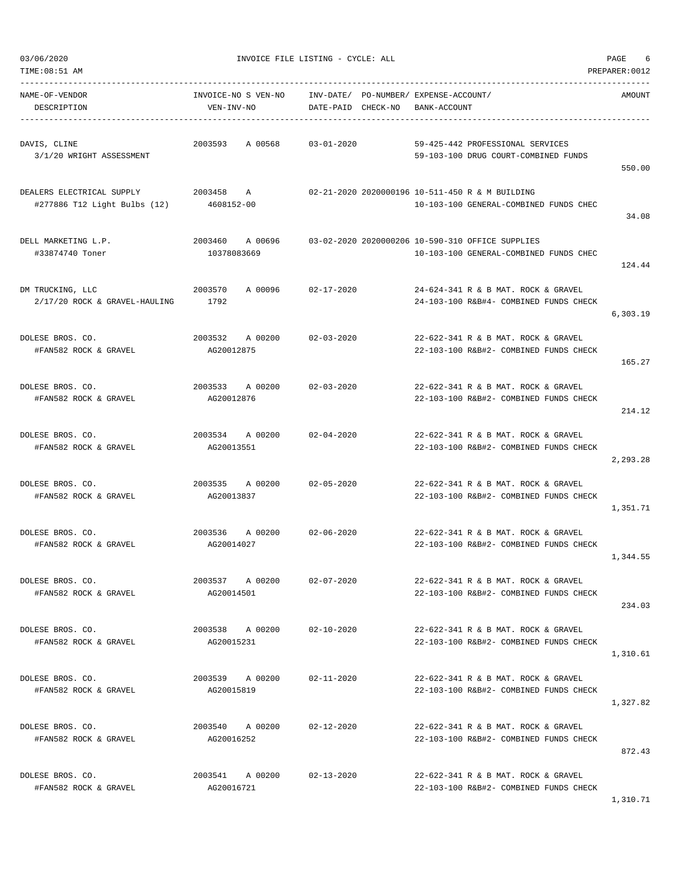| TIME:08:51 AM                                             |                                   |                                    |                                                                                            | PREPARER: 0012 |
|-----------------------------------------------------------|-----------------------------------|------------------------------------|--------------------------------------------------------------------------------------------|----------------|
| NAME-OF-VENDOR<br>DESCRIPTION                             | INVOICE-NO S VEN-NO<br>VEN-INV-NO | INV-DATE/<br>DATE-PAID<br>CHECK-NO | PO-NUMBER/ EXPENSE-ACCOUNT/<br>BANK-ACCOUNT                                                | AMOUNT         |
| DAVIS, CLINE<br>3/1/20 WRIGHT ASSESSMENT                  | A 00568<br>2003593                | $03 - 01 - 2020$                   | 59-425-442 PROFESSIONAL SERVICES<br>59-103-100 DRUG COURT-COMBINED FUNDS                   | 550.00         |
| DEALERS ELECTRICAL SUPPLY<br>#277886 T12 Light Bulbs (12) | 2003458<br>Α<br>4608152-00        |                                    | 02-21-2020 2020000196 10-511-450 R & M BUILDING<br>10-103-100 GENERAL-COMBINED FUNDS CHEC  | 34.08          |
| DELL MARKETING L.P.<br>#33874740 Toner                    | 2003460<br>A 00696<br>10378083669 |                                    | 03-02-2020 2020000206 10-590-310 OFFICE SUPPLIES<br>10-103-100 GENERAL-COMBINED FUNDS CHEC | 124.44         |
| DM TRUCKING, LLC<br>2/17/20 ROCK & GRAVEL-HAULING         | 2003570<br>A 00096<br>1792        | $02 - 17 - 2020$                   | 24-624-341 R & B MAT, ROCK & GRAVEL<br>24-103-100 R&B#4- COMBINED FUNDS CHECK              | 6,303.19       |
| DOLESE BROS. CO.<br>#FAN582 ROCK & GRAVEL                 | 2003532<br>A 00200<br>AG20012875  | $02 - 03 - 2020$                   | 22-622-341 R & B MAT. ROCK & GRAVEL<br>22-103-100 R&B#2- COMBINED FUNDS CHECK              | 165.27         |
| DOLESE BROS. CO.<br>#FAN582 ROCK & GRAVEL                 | 2003533<br>A 00200<br>AG20012876  | $02 - 03 - 2020$                   | 22-622-341 R & B MAT. ROCK & GRAVEL<br>22-103-100 R&B#2- COMBINED FUNDS CHECK              | 214.12         |
| DOLESE BROS. CO.<br>#FAN582 ROCK & GRAVEL                 | 2003534 A 00200<br>AG20013551     | $02 - 04 - 2020$                   | 22-622-341 R & B MAT. ROCK & GRAVEL<br>22-103-100 R&B#2- COMBINED FUNDS CHECK              | 2,293.28       |
| DOLESE BROS. CO.<br>#FAN582 ROCK & GRAVEL                 | 2003535<br>A 00200<br>AG20013837  | $02 - 05 - 2020$                   | 22-622-341 R & B MAT. ROCK & GRAVEL<br>22-103-100 R&B#2- COMBINED FUNDS CHECK              | 1,351.71       |
| DOLESE BROS. CO.<br>#FAN582 ROCK & GRAVEL                 | 2003536<br>A 00200<br>AG20014027  | $02 - 06 - 2020$                   | 22-622-341 R & B MAT. ROCK & GRAVEL<br>22-103-100 R&B#2- COMBINED FUNDS CHECK              | 1,344.55       |
| DOLESE BROS. CO.<br>#FAN582 ROCK & GRAVEL                 | 2003537 A 00200<br>AG20014501     | $02 - 07 - 2020$                   | 22-622-341 R & B MAT. ROCK & GRAVEL<br>22-103-100 R&B#2- COMBINED FUNDS CHECK              | 234.03         |
| DOLESE BROS. CO.<br>#FAN582 ROCK & GRAVEL                 | 2003538 A 00200<br>AG20015231     | $02 - 10 - 2020$                   | 22-622-341 R & B MAT. ROCK & GRAVEL<br>22-103-100 R&B#2- COMBINED FUNDS CHECK              | 1,310.61       |
| DOLESE BROS. CO.<br>#FAN582 ROCK & GRAVEL                 | 2003539 A 00200<br>AG20015819     | $02 - 11 - 2020$                   | 22-622-341 R & B MAT. ROCK & GRAVEL<br>22-103-100 R&B#2- COMBINED FUNDS CHECK              | 1,327.82       |
| DOLESE BROS. CO.<br>#FAN582 ROCK & GRAVEL                 | 2003540 A 00200<br>AG20016252     | $02 - 12 - 2020$                   | 22-622-341 R & B MAT. ROCK & GRAVEL<br>22-103-100 R&B#2- COMBINED FUNDS CHECK              | 872.43         |
| DOLESE BROS. CO.<br>#FAN582 ROCK & GRAVEL                 | 2003541 A 00200<br>AG20016721     | $02 - 13 - 2020$                   | 22-622-341 R & B MAT. ROCK & GRAVEL<br>22-103-100 R&B#2- COMBINED FUNDS CHECK              |                |

1,310.71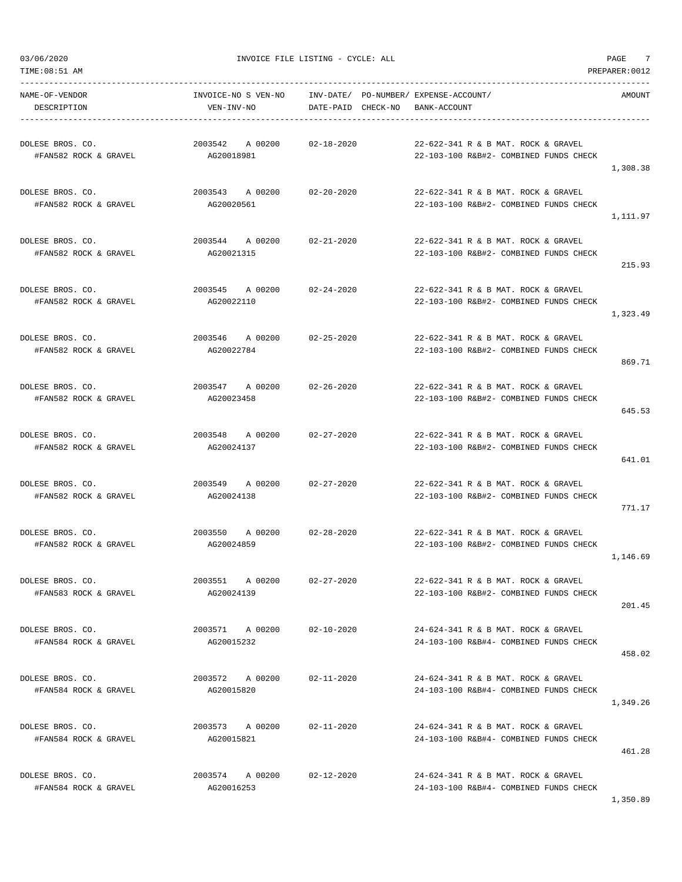| TIME: 08:51 AM                            |                                   |                                 |                                                                               | PREPARER: 0012 |
|-------------------------------------------|-----------------------------------|---------------------------------|-------------------------------------------------------------------------------|----------------|
| NAME-OF-VENDOR<br>DESCRIPTION             | INVOICE-NO S VEN-NO<br>VEN-INV-NO | INV-DATE/<br>DATE-PAID CHECK-NO | PO-NUMBER / EXPENSE-ACCOUNT /<br>BANK-ACCOUNT                                 | AMOUNT         |
| DOLESE BROS. CO.<br>#FAN582 ROCK & GRAVEL | 2003542<br>A 00200<br>AG20018981  | $02 - 18 - 2020$                | 22-622-341 R & B MAT. ROCK & GRAVEL<br>22-103-100 R&B#2- COMBINED FUNDS CHECK | 1,308.38       |
| DOLESE BROS. CO.<br>#FAN582 ROCK & GRAVEL | 2003543 A 00200<br>AG20020561     | $02 - 20 - 2020$                | 22-622-341 R & B MAT. ROCK & GRAVEL<br>22-103-100 R&B#2- COMBINED FUNDS CHECK | 1,111.97       |
| DOLESE BROS. CO.<br>#FAN582 ROCK & GRAVEL | 2003544<br>A 00200<br>AG20021315  | $02 - 21 - 2020$                | 22-622-341 R & B MAT. ROCK & GRAVEL<br>22-103-100 R&B#2- COMBINED FUNDS CHECK | 215.93         |
| DOLESE BROS. CO.<br>#FAN582 ROCK & GRAVEL | 2003545<br>A 00200<br>AG20022110  | $02 - 24 - 2020$                | 22-622-341 R & B MAT, ROCK & GRAVEL<br>22-103-100 R&B#2- COMBINED FUNDS CHECK | 1,323.49       |
| DOLESE BROS. CO.<br>#FAN582 ROCK & GRAVEL | 2003546 A 00200<br>AG20022784     | $02 - 25 - 2020$                | 22-622-341 R & B MAT. ROCK & GRAVEL<br>22-103-100 R&B#2- COMBINED FUNDS CHECK | 869.71         |
| DOLESE BROS. CO.<br>#FAN582 ROCK & GRAVEL | 2003547<br>A 00200<br>AG20023458  | $02 - 26 - 2020$                | 22-622-341 R & B MAT. ROCK & GRAVEL<br>22-103-100 R&B#2- COMBINED FUNDS CHECK | 645.53         |
| DOLESE BROS. CO.<br>#FAN582 ROCK & GRAVEL | 2003548<br>A 00200<br>AG20024137  | $02 - 27 - 2020$                | 22-622-341 R & B MAT. ROCK & GRAVEL<br>22-103-100 R&B#2- COMBINED FUNDS CHECK | 641.01         |
| DOLESE BROS. CO.<br>#FAN582 ROCK & GRAVEL | 2003549 A 00200<br>AG20024138     | $02 - 27 - 2020$                | 22-622-341 R & B MAT. ROCK & GRAVEL<br>22-103-100 R&B#2- COMBINED FUNDS CHECK | 771.17         |
| DOLESE BROS. CO.<br>#FAN582 ROCK & GRAVEL | 2003550<br>A 00200<br>AG20024859  | $02 - 28 - 2020$                | 22-622-341 R & B MAT. ROCK & GRAVEL<br>22-103-100 R&B#2- COMBINED FUNDS CHECK | 1,146.69       |
| DOLESE BROS. CO.<br>#FAN583 ROCK & GRAVEL | A 00200<br>2003551<br>AG20024139  | $02 - 27 - 2020$                | 22-622-341 R & B MAT. ROCK & GRAVEL<br>22-103-100 R&B#2- COMBINED FUNDS CHECK | 201.45         |
| DOLESE BROS. CO.<br>#FAN584 ROCK & GRAVEL | 2003571 A 00200<br>AG20015232     | $02 - 10 - 2020$                | 24-624-341 R & B MAT. ROCK & GRAVEL<br>24-103-100 R&B#4- COMBINED FUNDS CHECK | 458.02         |
| DOLESE BROS. CO.<br>#FAN584 ROCK & GRAVEL | 2003572 A 00200<br>AG20015820     | $02 - 11 - 2020$                | 24-624-341 R & B MAT, ROCK & GRAVEL<br>24-103-100 R&B#4- COMBINED FUNDS CHECK | 1,349.26       |
| DOLESE BROS. CO.<br>#FAN584 ROCK & GRAVEL | 2003573 A 00200<br>AG20015821     | $02 - 11 - 2020$                | 24-624-341 R & B MAT. ROCK & GRAVEL<br>24-103-100 R&B#4- COMBINED FUNDS CHECK | 461.28         |
| DOLESE BROS. CO.<br>#FAN584 ROCK & GRAVEL | 2003574 A 00200<br>AG20016253     | $02 - 12 - 2020$                | 24-624-341 R & B MAT. ROCK & GRAVEL<br>24-103-100 R&B#4- COMBINED FUNDS CHECK |                |

1,350.89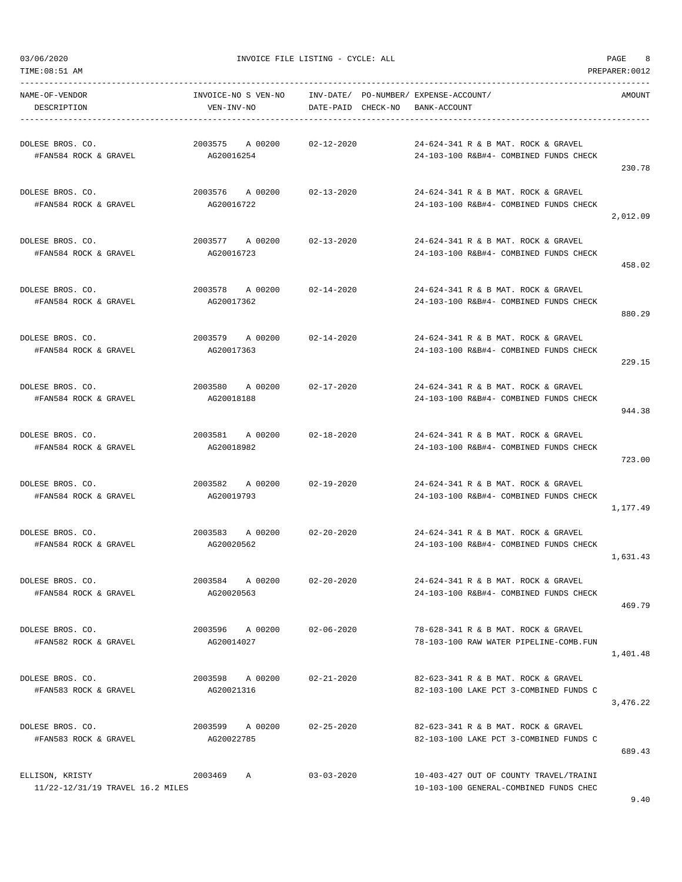| TIME: 08:51 AM                                      |                                   |                                 |                                                                                  | PREPARER: 0012 |
|-----------------------------------------------------|-----------------------------------|---------------------------------|----------------------------------------------------------------------------------|----------------|
| NAME-OF-VENDOR<br>DESCRIPTION                       | INVOICE-NO S VEN-NO<br>VEN-INV-NO | INV-DATE/<br>DATE-PAID CHECK-NO | PO-NUMBER/ EXPENSE-ACCOUNT/<br>BANK-ACCOUNT                                      | AMOUNT         |
| DOLESE BROS. CO.<br>#FAN584 ROCK & GRAVEL           | 2003575<br>A 00200<br>AG20016254  | $02 - 12 - 2020$                | 24-624-341 R & B MAT. ROCK & GRAVEL<br>24-103-100 R&B#4- COMBINED FUNDS CHECK    | 230.78         |
| DOLESE BROS. CO.<br>#FAN584 ROCK & GRAVEL           | 2003576 A 00200<br>AG20016722     | 02-13-2020                      | 24-624-341 R & B MAT. ROCK & GRAVEL<br>24-103-100 R&B#4- COMBINED FUNDS CHECK    | 2,012.09       |
| DOLESE BROS. CO.<br>#FAN584 ROCK & GRAVEL           | 2003577<br>A 00200<br>AG20016723  | $02 - 13 - 2020$                | 24-624-341 R & B MAT. ROCK & GRAVEL<br>24-103-100 R&B#4- COMBINED FUNDS CHECK    | 458.02         |
| DOLESE BROS. CO.<br>#FAN584 ROCK & GRAVEL           | 2003578<br>A 00200<br>AG20017362  | $02 - 14 - 2020$                | 24-624-341 R & B MAT. ROCK & GRAVEL<br>24-103-100 R&B#4- COMBINED FUNDS CHECK    | 880.29         |
| DOLESE BROS. CO.<br>#FAN584 ROCK & GRAVEL           | 2003579 A 00200<br>AG20017363     | $02 - 14 - 2020$                | 24-624-341 R & B MAT. ROCK & GRAVEL<br>24-103-100 R&B#4- COMBINED FUNDS CHECK    | 229.15         |
| DOLESE BROS. CO.<br>#FAN584 ROCK & GRAVEL           | 2003580<br>A 00200<br>AG20018188  | $02 - 17 - 2020$                | 24-624-341 R & B MAT. ROCK & GRAVEL<br>24-103-100 R&B#4- COMBINED FUNDS CHECK    | 944.38         |
| DOLESE BROS. CO.<br>#FAN584 ROCK & GRAVEL           | 2003581<br>A 00200<br>AG20018982  | $02 - 18 - 2020$                | 24-624-341 R & B MAT. ROCK & GRAVEL<br>24-103-100 R&B#4- COMBINED FUNDS CHECK    | 723.00         |
| DOLESE BROS. CO.<br>#FAN584 ROCK & GRAVEL           | 2003582<br>A 00200<br>AG20019793  | $02 - 19 - 2020$                | 24-624-341 R & B MAT. ROCK & GRAVEL<br>24-103-100 R&B#4- COMBINED FUNDS CHECK    | 1,177.49       |
| DOLESE BROS. CO.<br>#FAN584 ROCK & GRAVEL           | 2003583<br>A 00200<br>AG20020562  | 02-20-2020                      | 24-624-341 R & B MAT. ROCK & GRAVEL<br>24-103-100 R&B#4- COMBINED FUNDS CHECK    | 1,631.43       |
| DOLESE BROS. CO.<br>#FAN584 ROCK & GRAVEL           | 2003584 A 00200<br>AG20020563     | $02 - 20 - 2020$                | 24-624-341 R & B MAT. ROCK & GRAVEL<br>24-103-100 R&B#4- COMBINED FUNDS CHECK    | 469.79         |
| DOLESE BROS. CO.<br>#FAN582 ROCK & GRAVEL           | 2003596 A 00200<br>AG20014027     | $02 - 06 - 2020$                | 78-628-341 R & B MAT. ROCK & GRAVEL<br>78-103-100 RAW WATER PIPELINE-COMB.FUN    | 1,401.48       |
| DOLESE BROS. CO.<br>#FAN583 ROCK & GRAVEL           | 2003598 A 00200<br>AG20021316     | $02 - 21 - 2020$                | 82-623-341 R & B MAT. ROCK & GRAVEL<br>82-103-100 LAKE PCT 3-COMBINED FUNDS C    | 3,476.22       |
| DOLESE BROS. CO.<br>#FAN583 ROCK & GRAVEL           | 2003599 A 00200<br>AG20022785     | $02 - 25 - 2020$                | 82-623-341 R & B MAT. ROCK & GRAVEL<br>82-103-100 LAKE PCT 3-COMBINED FUNDS C    | 689.43         |
| ELLISON, KRISTY<br>11/22-12/31/19 TRAVEL 16.2 MILES | 2003469<br>A                      | $03 - 03 - 2020$                | 10-403-427 OUT OF COUNTY TRAVEL/TRAINI<br>10-103-100 GENERAL-COMBINED FUNDS CHEC |                |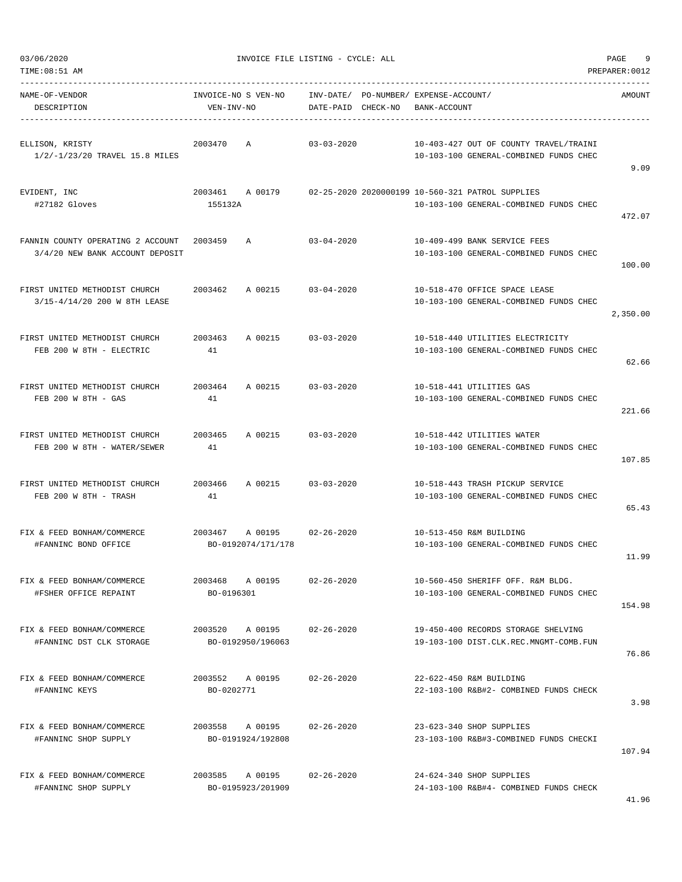| NAME-OF-VENDOR<br>DESCRIPTION                                        | VEN-INV-NO            | INVOICE-NO S VEN-NO INV-DATE/ PO-NUMBER/ EXPENSE-ACCOUNT/ | DATE-PAID CHECK-NO | BANK-ACCOUNT |                                                                                                            | AMOUNT   |
|----------------------------------------------------------------------|-----------------------|-----------------------------------------------------------|--------------------|--------------|------------------------------------------------------------------------------------------------------------|----------|
| ELLISON, KRISTY<br>1/2/-1/23/20 TRAVEL 15.8 MILES                    | 2003470 A             |                                                           | $03 - 03 - 2020$   |              | 10-403-427 OUT OF COUNTY TRAVEL/TRAINI<br>10-103-100 GENERAL-COMBINED FUNDS CHEC                           | 9.09     |
| EVIDENT, INC<br>#27182 Gloves                                        | 155132A               |                                                           |                    |              | 2003461 A 00179 02-25-2020 2020000199 10-560-321 PATROL SUPPLIES<br>10-103-100 GENERAL-COMBINED FUNDS CHEC | 472.07   |
| FANNIN COUNTY OPERATING 2 ACCOUNT<br>3/4/20 NEW BANK ACCOUNT DEPOSIT | 2003459               | A                                                         | 03-04-2020         |              | 10-409-499 BANK SERVICE FEES<br>10-103-100 GENERAL-COMBINED FUNDS CHEC                                     | 100.00   |
| FIRST UNITED METHODIST CHURCH<br>3/15-4/14/20 200 W 8TH LEASE        |                       | 2003462 A 00215 03-04-2020                                |                    |              | 10-518-470 OFFICE SPACE LEASE<br>10-103-100 GENERAL-COMBINED FUNDS CHEC                                    | 2,350.00 |
| FIRST UNITED METHODIST CHURCH<br>FEB 200 W 8TH - ELECTRIC            | 41                    | 2003463 A 00215 03-03-2020                                |                    |              | 10-518-440 UTILITIES ELECTRICITY<br>10-103-100 GENERAL-COMBINED FUNDS CHEC                                 | 62.66    |
| FIRST UNITED METHODIST CHURCH<br>FEB 200 W 8TH - GAS                 | 41                    | 2003464 A 00215 03-03-2020                                |                    |              | 10-518-441 UTILITIES GAS<br>10-103-100 GENERAL-COMBINED FUNDS CHEC                                         | 221.66   |
| FIRST UNITED METHODIST CHURCH<br>FEB 200 W 8TH - WATER/SEWER         | 2003465<br>41         | A 00215                                                   | $03 - 03 - 2020$   |              | 10-518-442 UTILITIES WATER<br>10-103-100 GENERAL-COMBINED FUNDS CHEC                                       | 107.85   |
| FIRST UNITED METHODIST CHURCH<br>FEB 200 W 8TH - TRASH               | 41                    | 2003466 A 00215 03-03-2020                                |                    |              | 10-518-443 TRASH PICKUP SERVICE<br>10-103-100 GENERAL-COMBINED FUNDS CHEC                                  | 65.43    |
| FIX & FEED BONHAM/COMMERCE<br>#FANNINC BOND OFFICE                   |                       | 2003467 A 00195 02-26-2020<br>BO-0192074/171/178          |                    |              | 10-513-450 R&M BUILDING<br>10-103-100 GENERAL-COMBINED FUNDS CHEC                                          | 11.99    |
| FIX & FEED BONHAM/COMMERCE<br>#FSHER OFFICE REPAINT                  | 2003468<br>BO-0196301 | A 00195                                                   | $02 - 26 - 2020$   |              | 10-560-450 SHERIFF OFF. R&M BLDG.<br>10-103-100 GENERAL-COMBINED FUNDS CHEC                                | 154.98   |
| FIX & FEED BONHAM/COMMERCE<br>#FANNINC DST CLK STORAGE               |                       | 2003520 A 00195<br>BO-0192950/196063                      | $02 - 26 - 2020$   |              | 19-450-400 RECORDS STORAGE SHELVING<br>19-103-100 DIST.CLK.REC.MNGMT-COMB.FUN                              | 76.86    |
| FIX & FEED BONHAM/COMMERCE<br>#FANNINC KEYS                          | BO-0202771            | 2003552 A 00195                                           | 02-26-2020         |              | 22-622-450 R&M BUILDING<br>22-103-100 R&B#2- COMBINED FUNDS CHECK                                          | 3.98     |
| FIX & FEED BONHAM/COMMERCE<br>#FANNINC SHOP SUPPLY                   |                       | 2003558 A 00195<br>BO-0191924/192808                      | $02 - 26 - 2020$   |              | 23-623-340 SHOP SUPPLIES<br>23-103-100 R&B#3-COMBINED FUNDS CHECKI                                         | 107.94   |
| FIX & FEED BONHAM/COMMERCE<br>#FANNINC SHOP SUPPLY                   |                       | 2003585 A 00195<br>BO-0195923/201909                      | $02 - 26 - 2020$   |              | 24-624-340 SHOP SUPPLIES<br>24-103-100 R&B#4- COMBINED FUNDS CHECK                                         |          |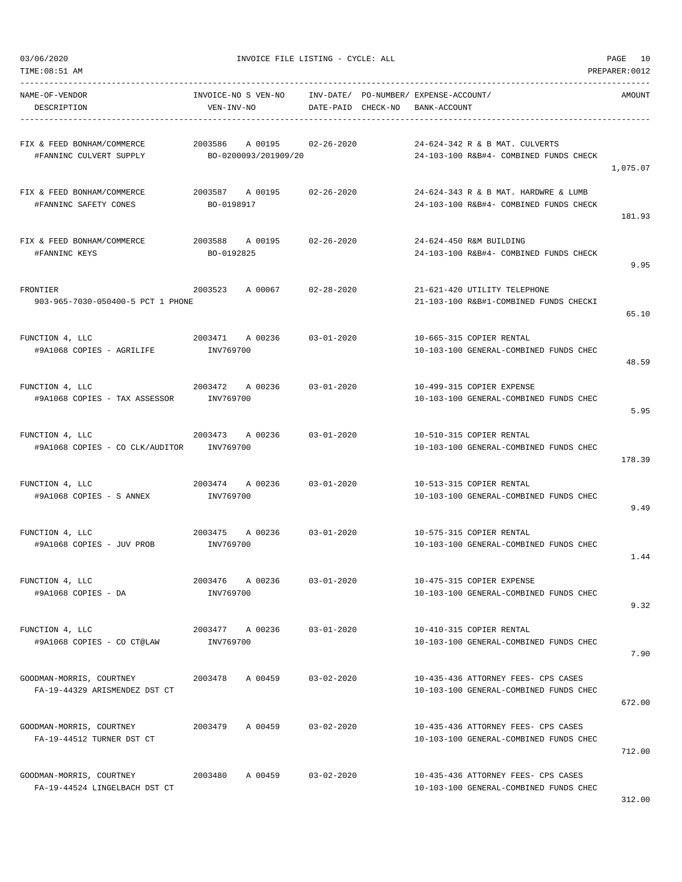TIME:08:51 AM PREPARER:0012

03/06/2020 INVOICE FILE LISTING - CYCLE: ALL PAGE 10

| NAME-OF-VENDOR<br>DESCRIPTION                                         | INVOICE-NO S VEN-NO<br>VEN-INV-NO                     |                  | INV-DATE/ PO-NUMBER/ EXPENSE-ACCOUNT/<br>DATE-PAID CHECK-NO BANK-ACCOUNT       | AMOUNT   |
|-----------------------------------------------------------------------|-------------------------------------------------------|------------------|--------------------------------------------------------------------------------|----------|
| FIX & FEED BONHAM/COMMERCE<br>#FANNINC CULVERT SUPPLY                 | 2003586<br>A 00195 02-26-2020<br>BO-0200093/201909/20 |                  | 24-624-342 R & B MAT. CULVERTS<br>24-103-100 R&B#4- COMBINED FUNDS CHECK       | 1,075.07 |
| FIX & FEED BONHAM/COMMERCE<br>#FANNINC SAFETY CONES                   | 2003587 A 00195 02-26-2020<br>BO-0198917              |                  | 24-624-343 R & B MAT. HARDWRE & LUMB<br>24-103-100 R&B#4- COMBINED FUNDS CHECK | 181.93   |
| FIX & FEED BONHAM/COMMERCE<br>#FANNINC KEYS                           | 2003588 A 00195<br>BO-0192825                         | 02-26-2020       | 24-624-450 R&M BUILDING<br>24-103-100 R&B#4- COMBINED FUNDS CHECK              | 9.95     |
| FRONTIER<br>903-965-7030-050400-5 PCT 1 PHONE                         | 2003523 A 00067 02-28-2020                            |                  | 21-621-420 UTILITY TELEPHONE<br>21-103-100 R&B#1-COMBINED FUNDS CHECKI         | 65.10    |
| FUNCTION 4, LLC<br>#9A1068 COPIES - AGRILIFE                          | 2003471 A 00236 03-01-2020<br>INV769700               |                  | 10-665-315 COPIER RENTAL<br>10-103-100 GENERAL-COMBINED FUNDS CHEC             | 48.59    |
| FUNCTION 4, LLC<br>2003472<br>#9A1068 COPIES - TAX ASSESSOR INV769700 | A 00236                                               | $03 - 01 - 2020$ | 10-499-315 COPIER EXPENSE<br>10-103-100 GENERAL-COMBINED FUNDS CHEC            | 5.95     |
| FUNCTION 4, LLC<br>#9A1068 COPIES - CO CLK/AUDITOR INV769700          | 2003473 A 00236 03-01-2020                            |                  | 10-510-315 COPIER RENTAL<br>10-103-100 GENERAL-COMBINED FUNDS CHEC             | 178.39   |
| FUNCTION 4, LLC<br>#9A1068 COPIES - S ANNEX                           | 2003474 A 00236 03-01-2020<br>INV769700               |                  | 10-513-315 COPIER RENTAL<br>10-103-100 GENERAL-COMBINED FUNDS CHEC             | 9.49     |
| FUNCTION 4, LLC<br>#9A1068 COPIES - JUV PROB                          | 2003475 A 00236 03-01-2020<br>INV769700               |                  | 10-575-315 COPIER RENTAL<br>10-103-100 GENERAL-COMBINED FUNDS CHEC             | 1.44     |
| FUNCTION 4, LLC<br>#9A1068 COPIES - DA                                | 2003476<br>A 00236<br>INV769700                       | $03 - 01 - 2020$ | 10-475-315 COPIER EXPENSE<br>10-103-100 GENERAL-COMBINED FUNDS CHEC            | 9.32     |
| FUNCTION 4, LLC<br>#9A1068 COPIES - CO CT@LAW                         | 2003477 A 00236<br>INV769700                          | $03 - 01 - 2020$ | 10-410-315 COPIER RENTAL<br>10-103-100 GENERAL-COMBINED FUNDS CHEC             | 7.90     |
| GOODMAN-MORRIS, COURTNEY<br>FA-19-44329 ARISMENDEZ DST CT             | 2003478<br>A 00459                                    | $03 - 02 - 2020$ | 10-435-436 ATTORNEY FEES- CPS CASES<br>10-103-100 GENERAL-COMBINED FUNDS CHEC  | 672.00   |
| GOODMAN-MORRIS, COURTNEY<br>FA-19-44512 TURNER DST CT                 | A 00459<br>2003479                                    | $03 - 02 - 2020$ | 10-435-436 ATTORNEY FEES- CPS CASES<br>10-103-100 GENERAL-COMBINED FUNDS CHEC  | 712.00   |
| GOODMAN-MORRIS, COURTNEY<br>FA-19-44524 LINGELBACH DST CT             | 2003480<br>A 00459                                    | $03 - 02 - 2020$ | 10-435-436 ATTORNEY FEES- CPS CASES<br>10-103-100 GENERAL-COMBINED FUNDS CHEC  |          |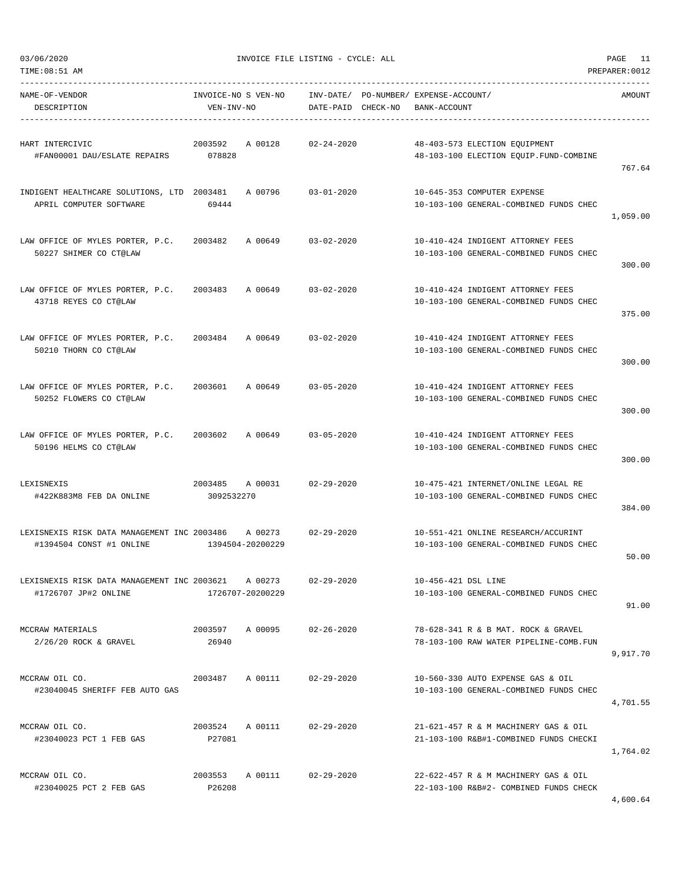| TIME: 08:51 AM<br>PREPARER: 0012                                                |                                   |                                 |                                                                                |          |  |  |
|---------------------------------------------------------------------------------|-----------------------------------|---------------------------------|--------------------------------------------------------------------------------|----------|--|--|
| NAME-OF-VENDOR<br>DESCRIPTION                                                   | INVOICE-NO S VEN-NO<br>VEN-INV-NO | INV-DATE/<br>DATE-PAID CHECK-NO | PO-NUMBER / EXPENSE-ACCOUNT /<br>BANK-ACCOUNT                                  | AMOUNT   |  |  |
| HART INTERCIVIC<br>#FAN00001 DAU/ESLATE REPAIRS                                 | 2003592<br>A 00128<br>078828      | $02 - 24 - 2020$                | 48-403-573 ELECTION EQUIPMENT<br>48-103-100 ELECTION EQUIP. FUND-COMBINE       | 767.64   |  |  |
| INDIGENT HEALTHCARE SOLUTIONS, LTD 2003481<br>APRIL COMPUTER SOFTWARE           | A 00796<br>69444                  | $03 - 01 - 2020$                | 10-645-353 COMPUTER EXPENSE<br>10-103-100 GENERAL-COMBINED FUNDS CHEC          | 1,059.00 |  |  |
| LAW OFFICE OF MYLES PORTER, P.C.<br>50227 SHIMER CO CT@LAW                      | 2003482<br>A 00649                | $03 - 02 - 2020$                | 10-410-424 INDIGENT ATTORNEY FEES<br>10-103-100 GENERAL-COMBINED FUNDS CHEC    | 300.00   |  |  |
| LAW OFFICE OF MYLES PORTER, P.C.<br>43718 REYES CO CT@LAW                       | 2003483<br>A 00649                | $03 - 02 - 2020$                | 10-410-424 INDIGENT ATTORNEY FEES<br>10-103-100 GENERAL-COMBINED FUNDS CHEC    | 375.00   |  |  |
| LAW OFFICE OF MYLES PORTER, P.C.<br>50210 THORN CO CT@LAW                       | 2003484<br>A 00649                | $03 - 02 - 2020$                | 10-410-424 INDIGENT ATTORNEY FEES<br>10-103-100 GENERAL-COMBINED FUNDS CHEC    | 300.00   |  |  |
| LAW OFFICE OF MYLES PORTER, P.C.<br>50252 FLOWERS CO CT@LAW                     | 2003601<br>A 00649                | $03 - 05 - 2020$                | 10-410-424 INDIGENT ATTORNEY FEES<br>10-103-100 GENERAL-COMBINED FUNDS CHEC    | 300.00   |  |  |
| LAW OFFICE OF MYLES PORTER, P.C.<br>50196 HELMS CO CT@LAW                       | A 00649<br>2003602                | $03 - 05 - 2020$                | 10-410-424 INDIGENT ATTORNEY FEES<br>10-103-100 GENERAL-COMBINED FUNDS CHEC    | 300.00   |  |  |
| LEXISNEXIS<br>#422K883M8 FEB DA ONLINE                                          | 2003485<br>A 00031<br>3092532270  | $02 - 29 - 2020$                | 10-475-421 INTERNET/ONLINE LEGAL RE<br>10-103-100 GENERAL-COMBINED FUNDS CHEC  | 384.00   |  |  |
| LEXISNEXIS RISK DATA MANAGEMENT INC 2003486 A 00273<br>#1394504 CONST #1 ONLINE | 1394504-20200229                  | $02 - 29 - 2020$                | 10-551-421 ONLINE RESEARCH/ACCURINT<br>10-103-100 GENERAL-COMBINED FUNDS CHEC  | 50.00    |  |  |
| LEXISNEXIS RISK DATA MANAGEMENT INC 2003621<br>#1726707 JP#2 ONLINE             | A 00273<br>1726707-20200229       | $02 - 29 - 2020$                | 10-456-421 DSL LINE<br>10-103-100 GENERAL-COMBINED FUNDS CHEC                  | 91.00    |  |  |
| MCCRAW MATERIALS<br>$2/26/20$ ROCK & GRAVEL                                     | 2003597<br>A 00095<br>26940       | $02 - 26 - 2020$                | 78-628-341 R & B MAT. ROCK & GRAVEL<br>78-103-100 RAW WATER PIPELINE-COMB.FUN  | 9,917.70 |  |  |
| MCCRAW OIL CO.<br>#23040045 SHERIFF FEB AUTO GAS                                | 2003487<br>A 00111                | $02 - 29 - 2020$                | 10-560-330 AUTO EXPENSE GAS & OIL<br>10-103-100 GENERAL-COMBINED FUNDS CHEC    | 4,701.55 |  |  |
| MCCRAW OIL CO.<br>#23040023 PCT 1 FEB GAS                                       | 2003524<br>A 00111<br>P27081      | $02 - 29 - 2020$                | 21-621-457 R & M MACHINERY GAS & OIL<br>21-103-100 R&B#1-COMBINED FUNDS CHECKI | 1,764.02 |  |  |
| MCCRAW OIL CO.<br>#23040025 PCT 2 FEB GAS                                       | 2003553<br>A 00111<br>P26208      | $02 - 29 - 2020$                | 22-622-457 R & M MACHINERY GAS & OIL<br>22-103-100 R&B#2- COMBINED FUNDS CHECK |          |  |  |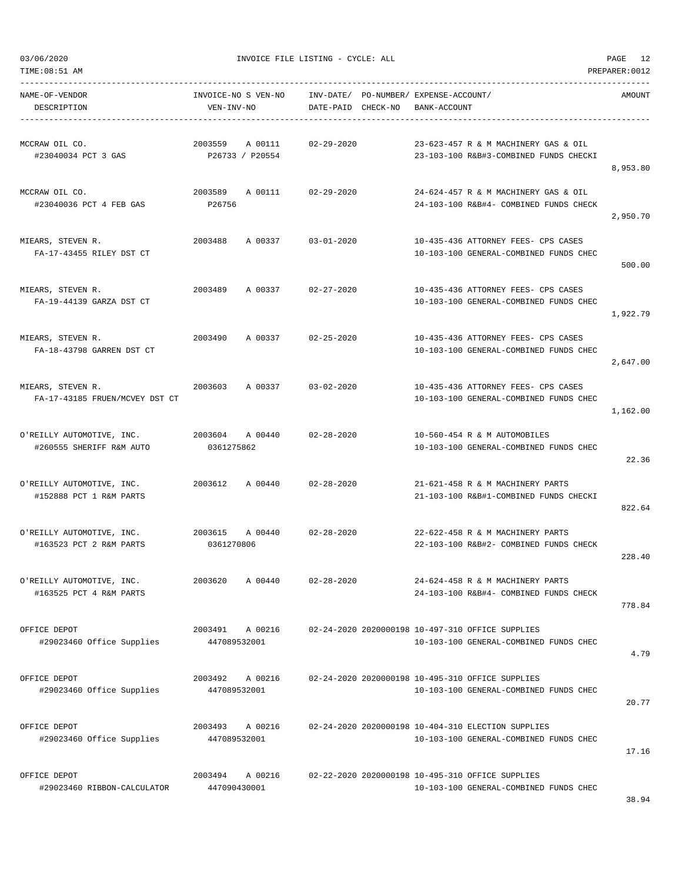TIME:08:51 AM PREPARER:0012

03/06/2020 INVOICE FILE LISTING - CYCLE: ALL PAGE 12

| NAME-OF-VENDOR<br>DESCRIPTION                         | INVOICE-NO S VEN-NO<br>VEN-INV-NO     | INV-DATE/ PO-NUMBER/ EXPENSE-ACCOUNT/<br>DATE-PAID CHECK-NO | BANK-ACCOUNT                                                                                 | AMOUNT   |
|-------------------------------------------------------|---------------------------------------|-------------------------------------------------------------|----------------------------------------------------------------------------------------------|----------|
| MCCRAW OIL CO.<br>#23040034 PCT 3 GAS                 | 2003559<br>A 00111<br>P26733 / P20554 | $02 - 29 - 2020$                                            | 23-623-457 R & M MACHINERY GAS & OIL<br>23-103-100 R&B#3-COMBINED FUNDS CHECKI               | 8,953.80 |
| MCCRAW OIL CO.<br>#23040036 PCT 4 FEB GAS             | 2003589<br>A 00111<br>P26756          | $02 - 29 - 2020$                                            | 24-624-457 R & M MACHINERY GAS & OIL<br>24-103-100 R&B#4- COMBINED FUNDS CHECK               | 2,950.70 |
| MIEARS, STEVEN R.<br>FA-17-43455 RILEY DST CT         | 2003488<br>A 00337                    | $03 - 01 - 2020$                                            | 10-435-436 ATTORNEY FEES- CPS CASES<br>10-103-100 GENERAL-COMBINED FUNDS CHEC                | 500.00   |
| MIEARS, STEVEN R.<br>FA-19-44139 GARZA DST CT         | 2003489<br>A 00337                    | $02 - 27 - 2020$                                            | 10-435-436 ATTORNEY FEES- CPS CASES<br>10-103-100 GENERAL-COMBINED FUNDS CHEC                | 1,922.79 |
| MIEARS, STEVEN R.<br>FA-18-43798 GARREN DST CT        | 2003490<br>A 00337                    | $02 - 25 - 2020$                                            | 10-435-436 ATTORNEY FEES- CPS CASES<br>10-103-100 GENERAL-COMBINED FUNDS CHEC                | 2,647.00 |
| MIEARS, STEVEN R.<br>FA-17-43185 FRUEN/MCVEY DST CT   | 2003603<br>A 00337                    | $03 - 02 - 2020$                                            | 10-435-436 ATTORNEY FEES- CPS CASES<br>10-103-100 GENERAL-COMBINED FUNDS CHEC                | 1,162.00 |
| O'REILLY AUTOMOTIVE, INC.<br>#260555 SHERIFF R&M AUTO | 2003604 A 00440<br>0361275862         | $02 - 28 - 2020$                                            | 10-560-454 R & M AUTOMOBILES<br>10-103-100 GENERAL-COMBINED FUNDS CHEC                       | 22.36    |
| O'REILLY AUTOMOTIVE, INC.<br>#152888 PCT 1 R&M PARTS  | 2003612<br>A 00440                    | 02-28-2020                                                  | 21-621-458 R & M MACHINERY PARTS<br>21-103-100 R&B#1-COMBINED FUNDS CHECKI                   | 822.64   |
| O'REILLY AUTOMOTIVE, INC.<br>#163523 PCT 2 R&M PARTS  | 2003615<br>A 00440<br>0361270806      | $02 - 28 - 2020$                                            | 22-622-458 R & M MACHINERY PARTS<br>22-103-100 R&B#2- COMBINED FUNDS CHECK                   | 228.40   |
| O'REILLY AUTOMOTIVE, INC.<br>#163525 PCT 4 R&M PARTS  | 2003620<br>A 00440                    | $02 - 28 - 2020$                                            | 24-624-458 R & M MACHINERY PARTS<br>24-103-100 R&B#4- COMBINED FUNDS CHECK                   | 778.84   |
| OFFICE DEPOT<br>#29023460 Office Supplies             | 2003491 A 00216<br>447089532001       |                                                             | 02-24-2020 2020000198 10-497-310 OFFICE SUPPLIES<br>10-103-100 GENERAL-COMBINED FUNDS CHEC   | 4.79     |
| OFFICE DEPOT<br>#29023460 Office Supplies             | A 00216<br>2003492<br>447089532001    |                                                             | 02-24-2020 2020000198 10-495-310 OFFICE SUPPLIES<br>10-103-100 GENERAL-COMBINED FUNDS CHEC   | 20.77    |
| OFFICE DEPOT<br>#29023460 Office Supplies             | 2003493<br>A 00216<br>447089532001    |                                                             | 02-24-2020 2020000198 10-404-310 ELECTION SUPPLIES<br>10-103-100 GENERAL-COMBINED FUNDS CHEC | 17.16    |
| OFFICE DEPOT<br>#29023460 RIBBON-CALCULATOR           | 2003494<br>A 00216<br>447090430001    |                                                             | 02-22-2020 2020000198 10-495-310 OFFICE SUPPLIES<br>10-103-100 GENERAL-COMBINED FUNDS CHEC   |          |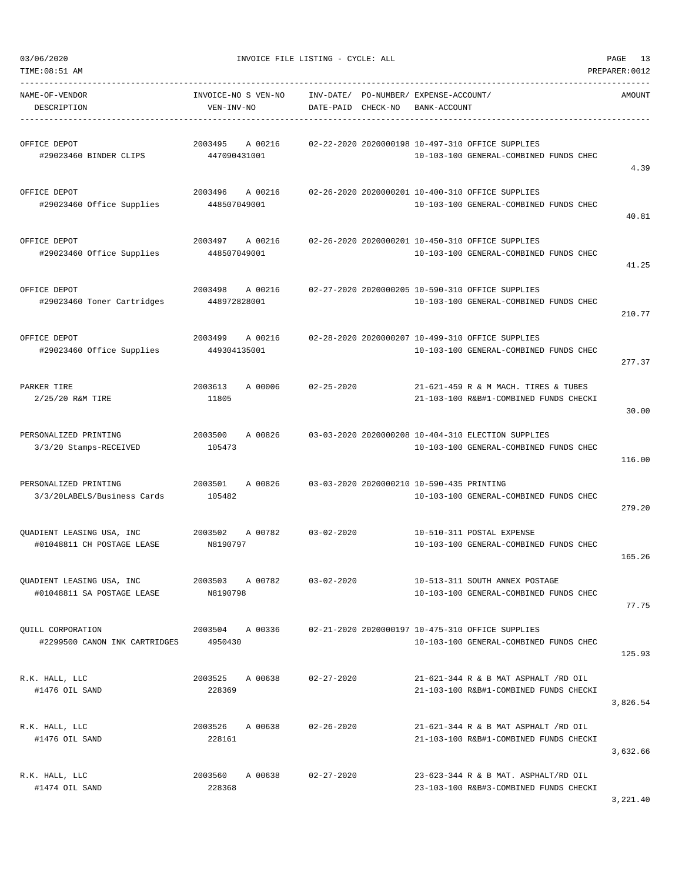| 03/06/2020                                              |                                    | INVOICE FILE LISTING - CYCLE: ALL         | 13<br>PAGE                                                                                   |                |  |
|---------------------------------------------------------|------------------------------------|-------------------------------------------|----------------------------------------------------------------------------------------------|----------------|--|
| TIME: 08:51 AM                                          |                                    |                                           |                                                                                              | PREPARER: 0012 |  |
| NAME-OF-VENDOR<br>DESCRIPTION                           | INVOICE-NO S VEN-NO<br>VEN-INV-NO  | INV-DATE/<br>DATE-PAID CHECK-NO           | PO-NUMBER/ EXPENSE-ACCOUNT/<br>BANK-ACCOUNT                                                  | AMOUNT         |  |
| OFFICE DEPOT<br>#29023460 BINDER CLIPS                  | 2003495<br>A 00216<br>447090431001 |                                           | 02-22-2020 2020000198 10-497-310 OFFICE SUPPLIES<br>10-103-100 GENERAL-COMBINED FUNDS CHEC   | 4.39           |  |
| OFFICE DEPOT<br>#29023460 Office Supplies               | 2003496<br>A 00216<br>448507049001 |                                           | 02-26-2020 2020000201 10-400-310 OFFICE SUPPLIES<br>10-103-100 GENERAL-COMBINED FUNDS CHEC   | 40.81          |  |
| OFFICE DEPOT<br>#29023460 Office Supplies               | 2003497<br>A 00216<br>448507049001 |                                           | 02-26-2020 2020000201 10-450-310 OFFICE SUPPLIES<br>10-103-100 GENERAL-COMBINED FUNDS CHEC   | 41.25          |  |
| OFFICE DEPOT<br>#29023460 Toner Cartridges              | 2003498<br>A 00216<br>448972828001 |                                           | 02-27-2020 2020000205 10-590-310 OFFICE SUPPLIES<br>10-103-100 GENERAL-COMBINED FUNDS CHEC   | 210.77         |  |
| OFFICE DEPOT<br>#29023460 Office Supplies               | A 00216<br>2003499<br>449304135001 |                                           | 02-28-2020 2020000207 10-499-310 OFFICE SUPPLIES<br>10-103-100 GENERAL-COMBINED FUNDS CHEC   | 277.37         |  |
| PARKER TIRE<br>2/25/20 R&M TIRE                         | 2003613<br>A 00006<br>11805        | $02 - 25 - 2020$                          | 21-621-459 R & M MACH. TIRES & TUBES<br>21-103-100 R&B#1-COMBINED FUNDS CHECKI               | 30.00          |  |
| PERSONALIZED PRINTING<br>3/3/20 Stamps-RECEIVED         | 2003500<br>A 00826<br>105473       |                                           | 03-03-2020 2020000208 10-404-310 ELECTION SUPPLIES<br>10-103-100 GENERAL-COMBINED FUNDS CHEC | 116.00         |  |
| PERSONALIZED PRINTING<br>3/3/20LABELS/Business Cards    | 2003501<br>A 00826<br>105482       | 03-03-2020 2020000210 10-590-435 PRINTING | 10-103-100 GENERAL-COMBINED FUNDS CHEC                                                       | 279.20         |  |
| QUADIENT LEASING USA, INC<br>#01048811 CH POSTAGE LEASE | 2003502<br>A 00782<br>N8190797     | $03 - 02 - 2020$                          | 10-510-311 POSTAL EXPENSE<br>10-103-100 GENERAL-COMBINED FUNDS CHEC                          | 165.26         |  |
| QUADIENT LEASING USA, INC<br>#01048811 SA POSTAGE LEASE | 2003503 A 00782<br>N8190798        | $03 - 02 - 2020$                          | 10-513-311 SOUTH ANNEX POSTAGE<br>10-103-100 GENERAL-COMBINED FUNDS CHEC                     | 77.75          |  |
| OUILL CORPORATION<br>#2299500 CANON INK CARTRIDGES      | 2003504 A 00336<br>4950430         |                                           | 02-21-2020 2020000197 10-475-310 OFFICE SUPPLIES<br>10-103-100 GENERAL-COMBINED FUNDS CHEC   | 125.93         |  |
| R.K. HALL, LLC<br>#1476 OIL SAND                        | 2003525<br>A 00638<br>228369       | $02 - 27 - 2020$                          | 21-621-344 R & B MAT ASPHALT /RD OIL<br>21-103-100 R&B#1-COMBINED FUNDS CHECKI               | 3,826.54       |  |
| R.K. HALL, LLC<br>#1476 OIL SAND                        | 2003526<br>A 00638<br>228161       | $02 - 26 - 2020$                          | 21-621-344 R & B MAT ASPHALT /RD OIL<br>21-103-100 R&B#1-COMBINED FUNDS CHECKI               | 3,632.66       |  |
| R.K. HALL, LLC<br>#1474 OIL SAND                        | 2003560<br>A 00638<br>228368       | $02 - 27 - 2020$                          | 23-623-344 R & B MAT. ASPHALT/RD OIL<br>23-103-100 R&B#3-COMBINED FUNDS CHECKI               |                |  |

3,221.40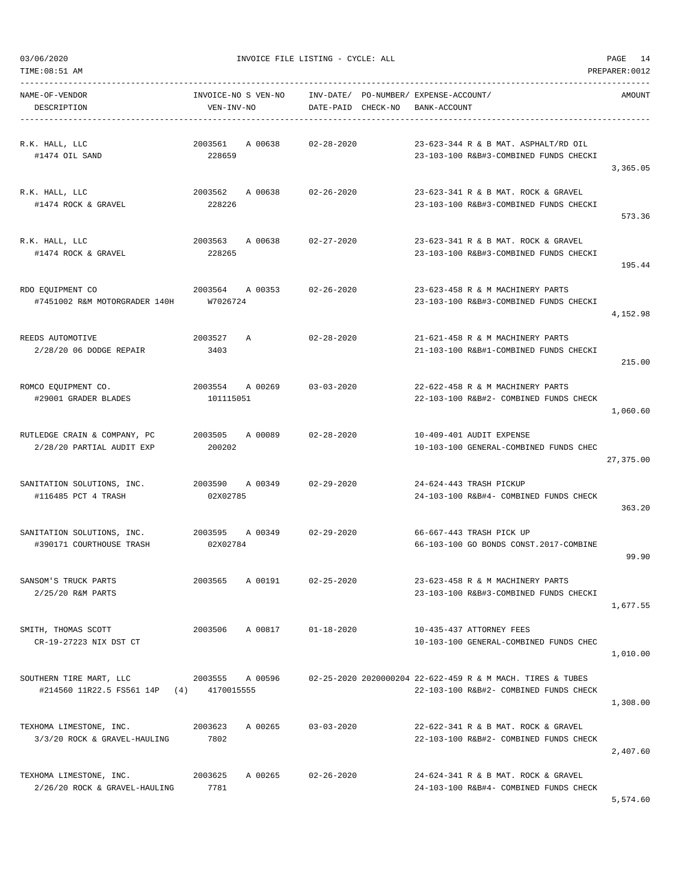TIME:08:51 AM PREPARER:0012 -----------------------------------------------------------------------------------------------------------------------------------

NAME-OF-VENDOR INVOICE-NO S VEN-NO INV-DATE/ PO-NUMBER/ EXPENSE-ACCOUNT/ AMOUNT DESCRIPTION VEN-INV-NO DATE-PAID CHECK-NO BANK-ACCOUNT

| R.K. HALL, LLC                                | 2003561<br>A 00638             | $02 - 28 - 2020$ | 23-623-344 R & B MAT. ASPHALT/RD OIL                               |           |
|-----------------------------------------------|--------------------------------|------------------|--------------------------------------------------------------------|-----------|
| #1474 OIL SAND                                | 228659                         |                  | 23-103-100 R&B#3-COMBINED FUNDS CHECKI                             |           |
|                                               |                                |                  |                                                                    | 3,365.05  |
| R.K. HALL, LLC                                | 2003562 A 00638                | $02 - 26 - 2020$ | 23-623-341 R & B MAT. ROCK & GRAVEL                                |           |
| #1474 ROCK & GRAVEL                           | 228226                         |                  | 23-103-100 R&B#3-COMBINED FUNDS CHECKI                             |           |
|                                               |                                |                  |                                                                    | 573.36    |
| R.K. HALL, LLC                                | 2003563 A 00638                | $02 - 27 - 2020$ | 23-623-341 R & B MAT. ROCK & GRAVEL                                |           |
| #1474 ROCK & GRAVEL                           | 228265                         |                  | 23-103-100 R&B#3-COMBINED FUNDS CHECKI                             |           |
|                                               |                                |                  |                                                                    | 195.44    |
|                                               |                                |                  |                                                                    |           |
| RDO EQUIPMENT CO                              | 2003564<br>A 00353<br>W7026724 | $02 - 26 - 2020$ | 23-623-458 R & M MACHINERY PARTS                                   |           |
| #7451002 R&M MOTORGRADER 140H                 |                                |                  | 23-103-100 R&B#3-COMBINED FUNDS CHECKI                             | 4,152.98  |
|                                               |                                |                  |                                                                    |           |
| REEDS AUTOMOTIVE                              | 2003527<br>$\mathbb{A}$        | $02 - 28 - 2020$ | 21-621-458 R & M MACHINERY PARTS                                   |           |
| 2/28/20 06 DODGE REPAIR                       | 3403                           |                  | 21-103-100 R&B#1-COMBINED FUNDS CHECKI                             |           |
|                                               |                                |                  |                                                                    | 215.00    |
| ROMCO EQUIPMENT CO.                           | 2003554 A 00269                | $03 - 03 - 2020$ | 22-622-458 R & M MACHINERY PARTS                                   |           |
| #29001 GRADER BLADES                          | 101115051                      |                  | 22-103-100 R&B#2- COMBINED FUNDS CHECK                             |           |
|                                               |                                |                  |                                                                    | 1,060.60  |
| RUTLEDGE CRAIN & COMPANY, PC                  | 2003505<br>A 00089             | $02 - 28 - 2020$ | 10-409-401 AUDIT EXPENSE                                           |           |
| 2/28/20 PARTIAL AUDIT EXP                     | 200202                         |                  | 10-103-100 GENERAL-COMBINED FUNDS CHEC                             |           |
|                                               |                                |                  |                                                                    | 27,375.00 |
|                                               |                                |                  |                                                                    |           |
| SANITATION SOLUTIONS, INC.                    | 2003590 A 00349                | $02 - 29 - 2020$ | 24-624-443 TRASH PICKUP                                            |           |
| #116485 PCT 4 TRASH                           | 02X02785                       |                  | 24-103-100 R&B#4- COMBINED FUNDS CHECK                             | 363.20    |
|                                               |                                |                  |                                                                    |           |
| SANITATION SOLUTIONS, INC.                    | 2003595<br>A 00349             | $02 - 29 - 2020$ | 66-667-443 TRASH PICK UP                                           |           |
| #390171 COURTHOUSE TRASH                      | 02X02784                       |                  | 66-103-100 GO BONDS CONST.2017-COMBINE                             |           |
|                                               |                                |                  |                                                                    | 99.90     |
| SANSOM'S TRUCK PARTS                          | 2003565 A 00191                | $02 - 25 - 2020$ | 23-623-458 R & M MACHINERY PARTS                                   |           |
| 2/25/20 R&M PARTS                             |                                |                  | 23-103-100 R&B#3-COMBINED FUNDS CHECKI                             |           |
|                                               |                                |                  |                                                                    | 1,677.55  |
|                                               |                                |                  |                                                                    |           |
| SMITH, THOMAS SCOTT<br>CR-19-27223 NIX DST CT | 2003506<br>A 00817             | $01 - 18 - 2020$ | 10-435-437 ATTORNEY FEES<br>10-103-100 GENERAL-COMBINED FUNDS CHEC |           |
|                                               |                                |                  |                                                                    | 1,010.00  |
|                                               |                                |                  |                                                                    |           |
| SOUTHERN TIRE MART, LLC                       | 2003555 A 00596                |                  | 02-25-2020 2020000204 22-622-459 R & M MACH. TIRES & TUBES         |           |
| #214560 11R22.5 FS561 14P (4) 4170015555      |                                |                  | 22-103-100 R&B#2- COMBINED FUNDS CHECK                             | 1,308.00  |
|                                               |                                |                  |                                                                    |           |
| TEXHOMA LIMESTONE, INC.                       | 2003623<br>A 00265             | $03 - 03 - 2020$ | 22-622-341 R & B MAT, ROCK & GRAVEL                                |           |
| 3/3/20 ROCK & GRAVEL-HAULING                  | 7802                           |                  | 22-103-100 R&B#2- COMBINED FUNDS CHECK                             |           |
|                                               |                                |                  |                                                                    | 2,407.60  |
| TEXHOMA LIMESTONE, INC.                       | 2003625<br>A 00265             | $02 - 26 - 2020$ | 24-624-341 R & B MAT. ROCK & GRAVEL                                |           |
| 2/26/20 ROCK & GRAVEL-HAULING                 | 7781                           |                  | 24-103-100 R&B#4- COMBINED FUNDS CHECK                             |           |
|                                               |                                |                  |                                                                    | 5,574.60  |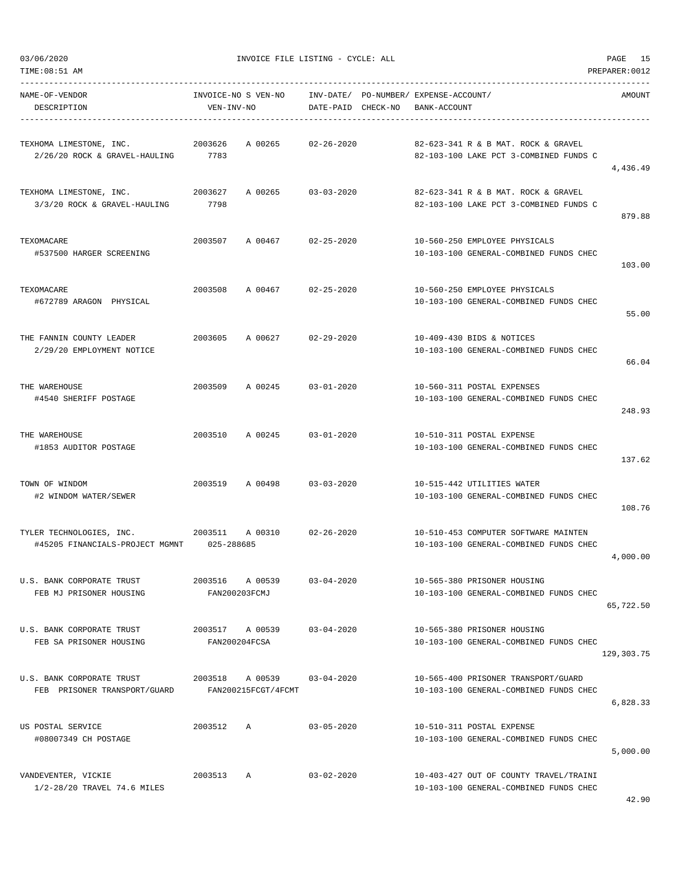-----------------------------------------------------------------------------------------------------------------------------------

| NAME-OF-VENDOR<br>DESCRIPTION                            | INVOICE-NO S VEN-NO<br>VEN-INV-NO |                  | INV-DATE/ PO-NUMBER/ EXPENSE-ACCOUNT/<br>DATE-PAID CHECK-NO BANK-ACCOUNT<br>----------------------------------- | AMOUNT     |
|----------------------------------------------------------|-----------------------------------|------------------|-----------------------------------------------------------------------------------------------------------------|------------|
|                                                          |                                   |                  |                                                                                                                 |            |
| TEXHOMA LIMESTONE, INC.<br>2/26/20 ROCK & GRAVEL-HAULING | 2003626<br>A 00265<br>7783        | $02 - 26 - 2020$ | 82-623-341 R & B MAT. ROCK & GRAVEL<br>82-103-100 LAKE PCT 3-COMBINED FUNDS C                                   |            |
|                                                          |                                   |                  |                                                                                                                 | 4,436.49   |
| TEXHOMA LIMESTONE, INC.                                  | 2003627<br>A 00265                | $03 - 03 - 2020$ | 82-623-341 R & B MAT. ROCK & GRAVEL                                                                             |            |
| 3/3/20 ROCK & GRAVEL-HAULING                             | 7798                              |                  | 82-103-100 LAKE PCT 3-COMBINED FUNDS C                                                                          |            |
|                                                          |                                   |                  |                                                                                                                 | 879.88     |
| TEXOMACARE                                               | 2003507<br>A 00467                | $02 - 25 - 2020$ | 10-560-250 EMPLOYEE PHYSICALS                                                                                   |            |
| #537500 HARGER SCREENING                                 |                                   |                  | 10-103-100 GENERAL-COMBINED FUNDS CHEC                                                                          |            |
|                                                          |                                   |                  |                                                                                                                 | 103.00     |
|                                                          |                                   |                  |                                                                                                                 |            |
| TEXOMACARE<br>#672789 ARAGON PHYSICAL                    | 2003508<br>A 00467                | $02 - 25 - 2020$ | 10-560-250 EMPLOYEE PHYSICALS<br>10-103-100 GENERAL-COMBINED FUNDS CHEC                                         |            |
|                                                          |                                   |                  |                                                                                                                 | 55.00      |
|                                                          |                                   |                  |                                                                                                                 |            |
| THE FANNIN COUNTY LEADER<br>2/29/20 EMPLOYMENT NOTICE    | 2003605<br>A 00627                | $02 - 29 - 2020$ | 10-409-430 BIDS & NOTICES<br>10-103-100 GENERAL-COMBINED FUNDS CHEC                                             |            |
|                                                          |                                   |                  |                                                                                                                 | 66.04      |
|                                                          |                                   |                  |                                                                                                                 |            |
| THE WAREHOUSE                                            | 2003509<br>A 00245                | $03 - 01 - 2020$ | 10-560-311 POSTAL EXPENSES                                                                                      |            |
| #4540 SHERIFF POSTAGE                                    |                                   |                  | 10-103-100 GENERAL-COMBINED FUNDS CHEC                                                                          | 248.93     |
|                                                          |                                   |                  |                                                                                                                 |            |
| THE WAREHOUSE                                            | 2003510<br>A 00245                | $03 - 01 - 2020$ | 10-510-311 POSTAL EXPENSE                                                                                       |            |
| #1853 AUDITOR POSTAGE                                    |                                   |                  | 10-103-100 GENERAL-COMBINED FUNDS CHEC                                                                          | 137.62     |
|                                                          |                                   |                  |                                                                                                                 |            |
| TOWN OF WINDOM                                           | 2003519 A 00498                   | $03 - 03 - 2020$ | 10-515-442 UTILITIES WATER                                                                                      |            |
| #2 WINDOM WATER/SEWER                                    |                                   |                  | 10-103-100 GENERAL-COMBINED FUNDS CHEC                                                                          | 108.76     |
|                                                          |                                   |                  |                                                                                                                 |            |
| TYLER TECHNOLOGIES, INC.                                 | 2003511<br>A 00310                | $02 - 26 - 2020$ | 10-510-453 COMPUTER SOFTWARE MAINTEN                                                                            |            |
| #45205 FINANCIALS-PROJECT MGMNT 025-288685               |                                   |                  | 10-103-100 GENERAL-COMBINED FUNDS CHEC                                                                          |            |
|                                                          |                                   |                  |                                                                                                                 | 4,000.00   |
| U.S. BANK CORPORATE TRUST                                | 2003516 A 00539                   | $03 - 04 - 2020$ | 10-565-380 PRISONER HOUSING                                                                                     |            |
| FEB MJ PRISONER HOUSING                                  | FAN200203FCMJ                     |                  | 10-103-100 GENERAL-COMBINED FUNDS CHEC                                                                          |            |
|                                                          |                                   |                  |                                                                                                                 | 65,722.50  |
| U.S. BANK CORPORATE TRUST                                | 2003517 A 00539                   | $03 - 04 - 2020$ | 10-565-380 PRISONER HOUSING                                                                                     |            |
| FEB SA PRISONER HOUSING                                  | FAN200204FCSA                     |                  | 10-103-100 GENERAL-COMBINED FUNDS CHEC                                                                          |            |
|                                                          |                                   |                  |                                                                                                                 | 129,303.75 |
| U.S. BANK CORPORATE TRUST                                | 2003518 A 00539 03-04-2020        |                  | 10-565-400 PRISONER TRANSPORT/GUARD                                                                             |            |
| FEB PRISONER TRANSPORT/GUARD                             | FAN200215FCGT/4FCMT               |                  | 10-103-100 GENERAL-COMBINED FUNDS CHEC                                                                          |            |
|                                                          |                                   |                  |                                                                                                                 | 6,828.33   |
| US POSTAL SERVICE                                        | 2003512<br>Α                      | $03 - 05 - 2020$ | 10-510-311 POSTAL EXPENSE                                                                                       |            |
| #08007349 CH POSTAGE                                     |                                   |                  | 10-103-100 GENERAL-COMBINED FUNDS CHEC                                                                          |            |
|                                                          |                                   |                  |                                                                                                                 | 5,000.00   |
| VANDEVENTER, VICKIE                                      | 2003513<br>A                      | $03 - 02 - 2020$ | 10-403-427 OUT OF COUNTY TRAVEL/TRAINI                                                                          |            |
| 1/2-28/20 TRAVEL 74.6 MILES                              |                                   |                  | 10-103-100 GENERAL-COMBINED FUNDS CHEC                                                                          |            |
|                                                          |                                   |                  |                                                                                                                 |            |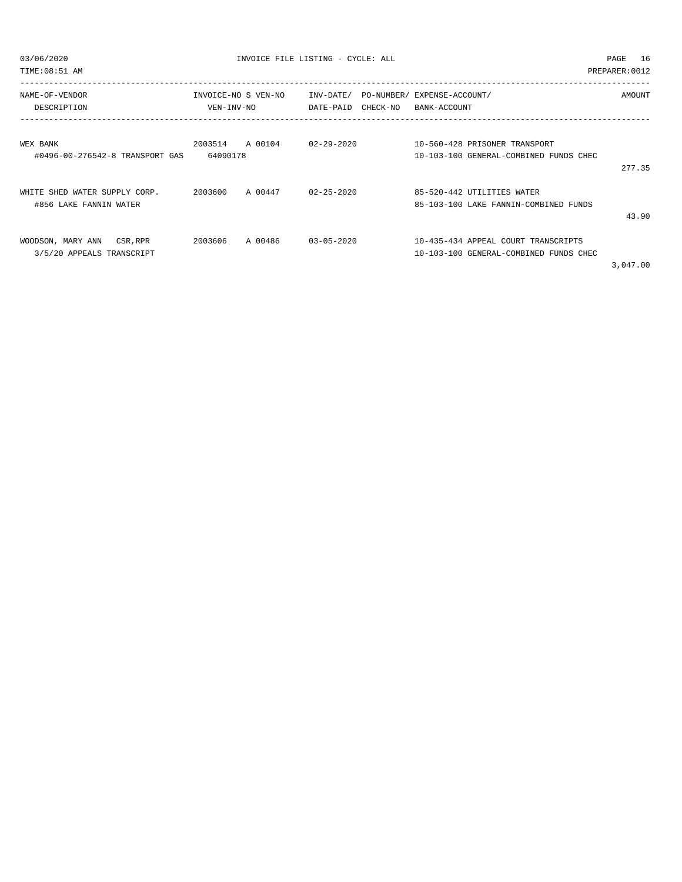| 03/06/2020                      | INVOICE FILE LISTING - CYCLE: ALL |                                       | PAGE<br>16                             |                |
|---------------------------------|-----------------------------------|---------------------------------------|----------------------------------------|----------------|
| TIME:08:51 AM                   |                                   |                                       |                                        | PREPARER: 0012 |
| NAME-OF-VENDOR                  | INVOICE-NO S VEN-NO               | INV-DATE/ PO-NUMBER/ EXPENSE-ACCOUNT/ |                                        | AMOUNT         |
| DESCRIPTION                     | VEN-INV-NO                        | DATE-PAID CHECK-NO BANK-ACCOUNT       |                                        |                |
|                                 |                                   |                                       |                                        |                |
| WEX BANK                        | 2003514<br>A 00104                | $02 - 29 - 2020$                      | 10-560-428 PRISONER TRANSPORT          |                |
| #0496-00-276542-8 TRANSPORT GAS | 64090178                          |                                       | 10-103-100 GENERAL-COMBINED FUNDS CHEC |                |
|                                 |                                   |                                       |                                        | 277.35         |
| WHITE SHED WATER SUPPLY CORP.   | 2003600 A 00447                   | $02 - 25 - 2020$                      | 85-520-442 UTILITIES WATER             |                |
| #856 LAKE FANNIN WATER          |                                   |                                       | 85-103-100 LAKE FANNIN-COMBINED FUNDS  |                |
|                                 |                                   |                                       |                                        | 43.90          |
| WOODSON, MARY ANN CSR, RPR      | 2003606<br>A 00486                | $03 - 05 - 2020$                      | 10-435-434 APPEAL COURT TRANSCRIPTS    |                |
| 3/5/20 APPEALS TRANSCRIPT       |                                   |                                       | 10-103-100 GENERAL-COMBINED FUNDS CHEC |                |
|                                 |                                   |                                       |                                        | 3 047 00       |

3,047.00